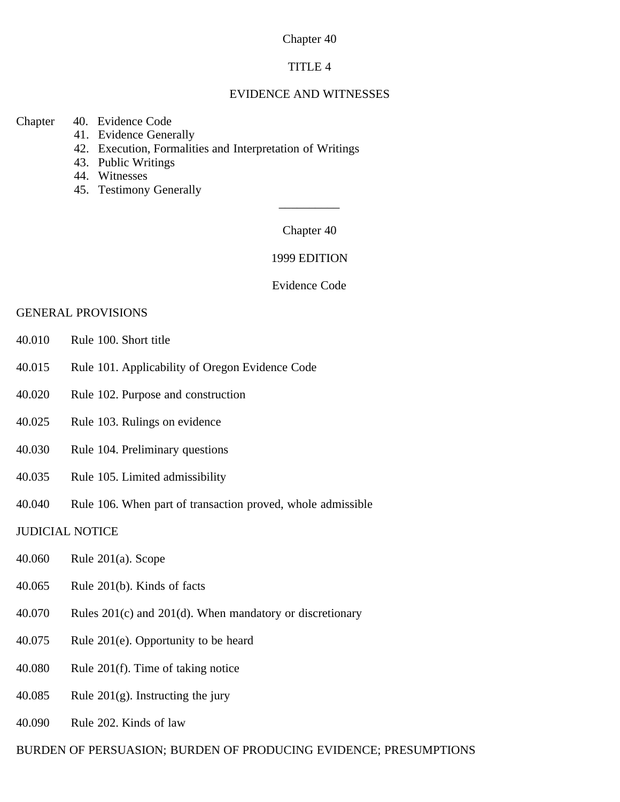## Chapter 40

# TITLE 4

### EVIDENCE AND WITNESSES

### Chapter 40. Evidence Code

- 41. Evidence Generally
- 42. Execution, Formalities and Interpretation of Writings
- 43. Public Writings
- 44. Witnesses
- 45. Testimony Generally

Chapter 40

\_\_\_\_\_\_\_\_\_\_

## 1999 EDITION

## Evidence Code

### GENERAL PROVISIONS

- 40.010 Rule 100. Short title
- 40.015 Rule 101. Applicability of Oregon Evidence Code
- 40.020 Rule 102. Purpose and construction
- 40.025 Rule 103. Rulings on evidence
- 40.030 Rule 104. Preliminary questions
- 40.035 Rule 105. Limited admissibility
- 40.040 Rule 106. When part of transaction proved, whole admissible

### JUDICIAL NOTICE

- 40.060 Rule 201(a). Scope
- 40.065 Rule 201(b). Kinds of facts
- 40.070 Rules 201(c) and 201(d). When mandatory or discretionary
- 40.075 Rule 201(e). Opportunity to be heard
- 40.080 Rule 201(f). Time of taking notice
- 40.085 Rule 201(g). Instructing the jury
- 40.090 Rule 202. Kinds of law

#### BURDEN OF PERSUASION; BURDEN OF PRODUCING EVIDENCE; PRESUMPTIONS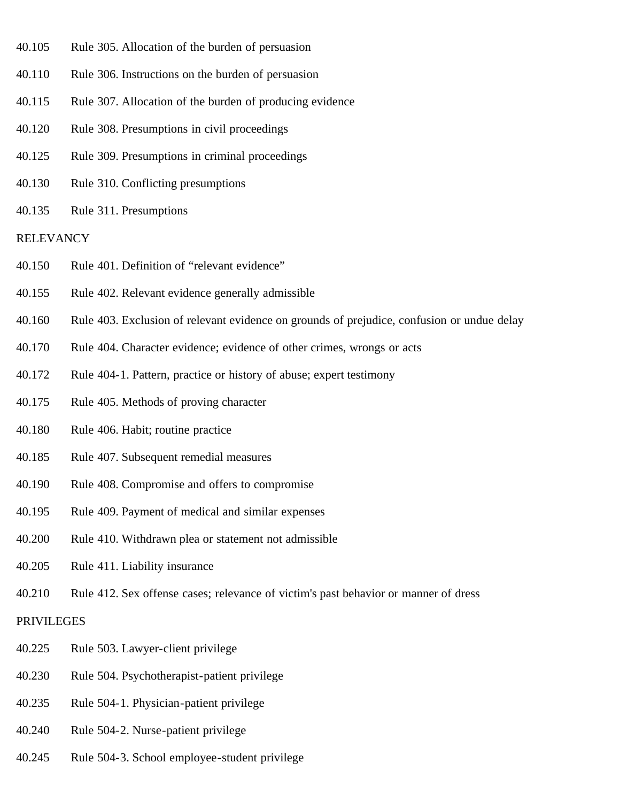- 40.105 Rule 305. Allocation of the burden of persuasion
- 40.110 Rule 306. Instructions on the burden of persuasion
- 40.115 Rule 307. Allocation of the burden of producing evidence
- 40.120 Rule 308. Presumptions in civil proceedings
- 40.125 Rule 309. Presumptions in criminal proceedings
- 40.130 Rule 310. Conflicting presumptions
- 40.135 Rule 311. Presumptions

### RELEVANCY

- 40.150 Rule 401. Definition of "relevant evidence"
- 40.155 Rule 402. Relevant evidence generally admissible
- 40.160 Rule 403. Exclusion of relevant evidence on grounds of prejudice, confusion or undue delay
- 40.170 Rule 404. Character evidence; evidence of other crimes, wrongs or acts
- 40.172 Rule 404-1. Pattern, practice or history of abuse; expert testimony
- 40.175 Rule 405. Methods of proving character
- 40.180 Rule 406. Habit; routine practice
- 40.185 Rule 407. Subsequent remedial measures
- 40.190 Rule 408. Compromise and offers to compromise
- 40.195 Rule 409. Payment of medical and similar expenses
- 40.200 Rule 410. Withdrawn plea or statement not admissible
- 40.205 Rule 411. Liability insurance
- 40.210 Rule 412. Sex offense cases; relevance of victim's past behavior or manner of dress

## PRIVILEGES

- 40.225 Rule 503. Lawyer-client privilege
- 40.230 Rule 504. Psychotherapist-patient privilege
- 40.235 Rule 504-1. Physician-patient privilege
- 40.240 Rule 504-2. Nurse-patient privilege
- 40.245 Rule 504-3. School employee-student privilege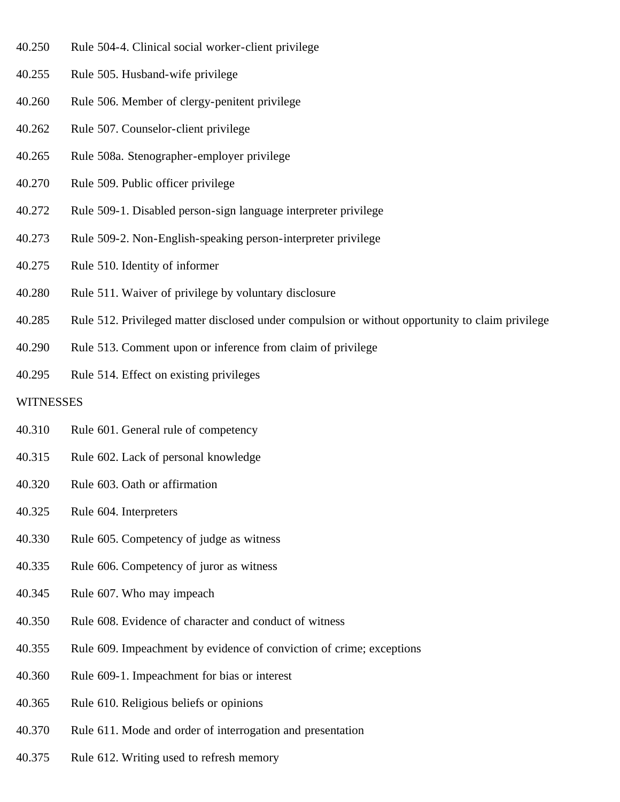- 40.250 Rule 504-4. Clinical social worker-client privilege
- 40.255 Rule 505. Husband-wife privilege
- 40.260 Rule 506. Member of clergy-penitent privilege
- 40.262 Rule 507. Counselor-client privilege
- 40.265 Rule 508a. Stenographer-employer privilege
- 40.270 Rule 509. Public officer privilege
- 40.272 Rule 509-1. Disabled person-sign language interpreter privilege
- 40.273 Rule 509-2. Non-English-speaking person-interpreter privilege
- 40.275 Rule 510. Identity of informer
- 40.280 Rule 511. Waiver of privilege by voluntary disclosure
- 40.285 Rule 512. Privileged matter disclosed under compulsion or without opportunity to claim privilege
- 40.290 Rule 513. Comment upon or inference from claim of privilege
- 40.295 Rule 514. Effect on existing privileges

### **WITNESSES**

- 40.310 Rule 601. General rule of competency
- 40.315 Rule 602. Lack of personal knowledge
- 40.320 Rule 603. Oath or affirmation
- 40.325 Rule 604. Interpreters
- 40.330 Rule 605. Competency of judge as witness
- 40.335 Rule 606. Competency of juror as witness
- 40.345 Rule 607. Who may impeach
- 40.350 Rule 608. Evidence of character and conduct of witness
- 40.355 Rule 609. Impeachment by evidence of conviction of crime; exceptions
- 40.360 Rule 609-1. Impeachment for bias or interest
- 40.365 Rule 610. Religious beliefs or opinions
- 40.370 Rule 611. Mode and order of interrogation and presentation
- 40.375 Rule 612. Writing used to refresh memory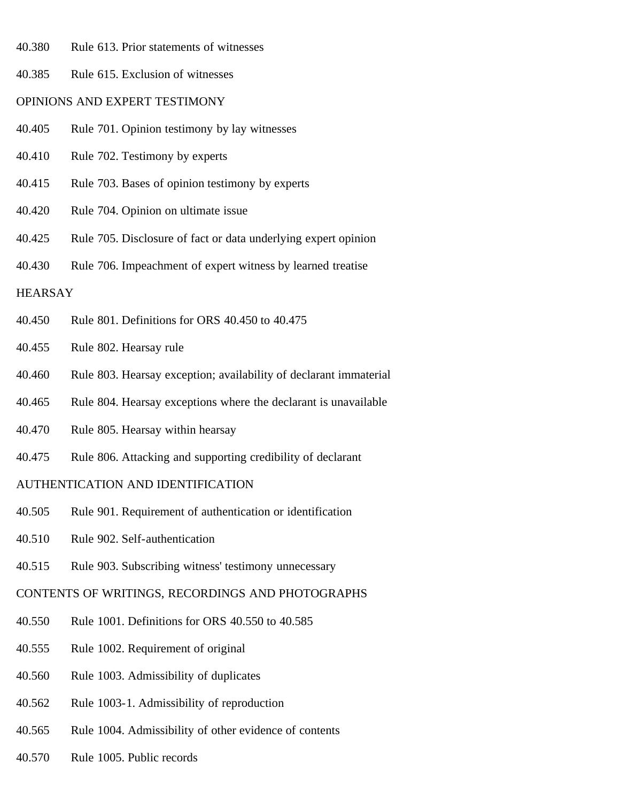- 40.380 Rule 613. Prior statements of witnesses
- 40.385 Rule 615. Exclusion of witnesses

### OPINIONS AND EXPERT TESTIMONY

- 40.405 Rule 701. Opinion testimony by lay witnesses
- 40.410 Rule 702. Testimony by experts
- 40.415 Rule 703. Bases of opinion testimony by experts
- 40.420 Rule 704. Opinion on ultimate issue
- 40.425 Rule 705. Disclosure of fact or data underlying expert opinion
- 40.430 Rule 706. Impeachment of expert witness by learned treatise

### HEARSAY

- 40.450 Rule 801. Definitions for ORS 40.450 to 40.475
- 40.455 Rule 802. Hearsay rule
- 40.460 Rule 803. Hearsay exception; availability of declarant immaterial
- 40.465 Rule 804. Hearsay exceptions where the declarant is unavailable
- 40.470 Rule 805. Hearsay within hearsay
- 40.475 Rule 806. Attacking and supporting credibility of declarant

# AUTHENTICATION AND IDENTIFICATION

- 40.505 Rule 901. Requirement of authentication or identification
- 40.510 Rule 902. Self-authentication
- 40.515 Rule 903. Subscribing witness' testimony unnecessary

#### CONTENTS OF WRITINGS, RECORDINGS AND PHOTOGRAPHS

- 40.550 Rule 1001. Definitions for ORS 40.550 to 40.585
- 40.555 Rule 1002. Requirement of original
- 40.560 Rule 1003. Admissibility of duplicates
- 40.562 Rule 1003-1. Admissibility of reproduction
- 40.565 Rule 1004. Admissibility of other evidence of contents
- 40.570 Rule 1005. Public records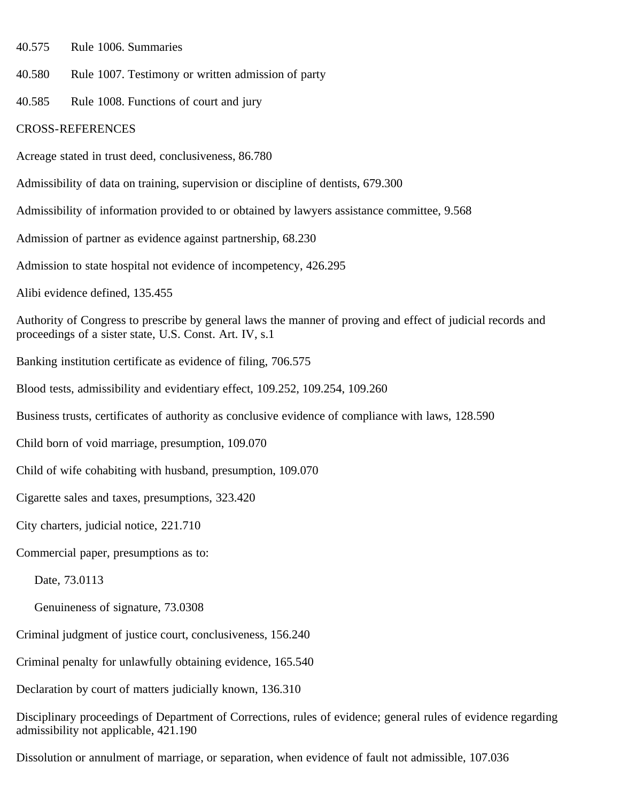- 40.575 Rule 1006. Summaries
- 40.580 Rule 1007. Testimony or written admission of party
- 40.585 Rule 1008. Functions of court and jury

## CROSS-REFERENCES

- Acreage stated in trust deed, conclusiveness, 86.780
- Admissibility of data on training, supervision or discipline of dentists, 679.300
- Admissibility of information provided to or obtained by lawyers assistance committee, 9.568
- Admission of partner as evidence against partnership, 68.230
- Admission to state hospital not evidence of incompetency, 426.295
- Alibi evidence defined, 135.455
- Authority of Congress to prescribe by general laws the manner of proving and effect of judicial records and proceedings of a sister state, U.S. Const. Art. IV, s.1
- Banking institution certificate as evidence of filing, 706.575
- Blood tests, admissibility and evidentiary effect, 109.252, 109.254, 109.260
- Business trusts, certificates of authority as conclusive evidence of compliance with laws, 128.590
- Child born of void marriage, presumption, 109.070
- Child of wife cohabiting with husband, presumption, 109.070
- Cigarette sales and taxes, presumptions, 323.420
- City charters, judicial notice, 221.710
- Commercial paper, presumptions as to:
	- Date, 73.0113
	- Genuineness of signature, 73.0308
- Criminal judgment of justice court, conclusiveness, 156.240
- Criminal penalty for unlawfully obtaining evidence, 165.540
- Declaration by court of matters judicially known, 136.310
- Disciplinary proceedings of Department of Corrections, rules of evidence; general rules of evidence regarding admissibility not applicable, 421.190
- Dissolution or annulment of marriage, or separation, when evidence of fault not admissible, 107.036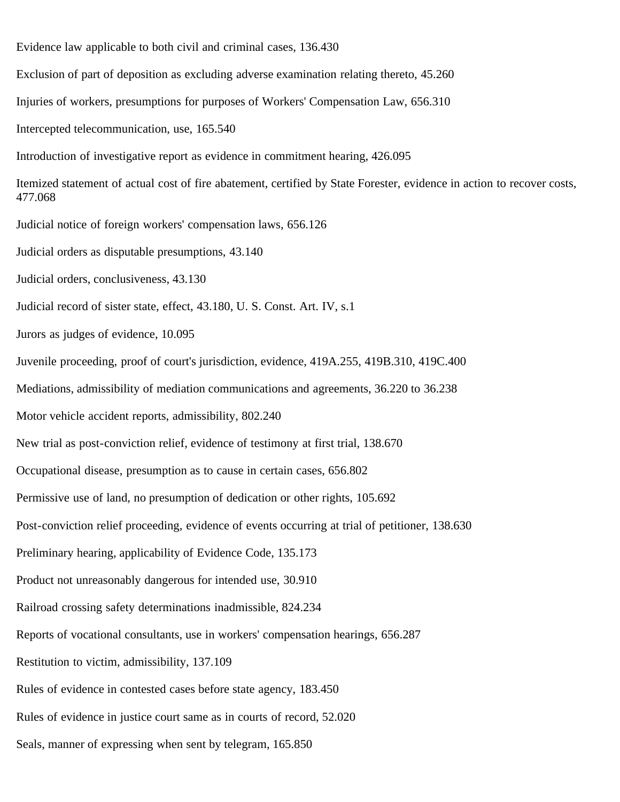Evidence law applicable to both civil and criminal cases, 136.430 Exclusion of part of deposition as excluding adverse examination relating thereto, 45.260 Injuries of workers, presumptions for purposes of Workers' Compensation Law, 656.310 Intercepted telecommunication, use, 165.540 Introduction of investigative report as evidence in commitment hearing, 426.095 Itemized statement of actual cost of fire abatement, certified by State Forester, evidence in action to recover costs, 477.068 Judicial notice of foreign workers' compensation laws, 656.126 Judicial orders as disputable presumptions, 43.140 Judicial orders, conclusiveness, 43.130 Judicial record of sister state, effect, 43.180, U. S. Const. Art. IV, s.1 Jurors as judges of evidence, 10.095 Juvenile proceeding, proof of court's jurisdiction, evidence, 419A.255, 419B.310, 419C.400 Mediations, admissibility of mediation communications and agreements, 36.220 to 36.238 Motor vehicle accident reports, admissibility, 802.240 New trial as post-conviction relief, evidence of testimony at first trial, 138.670 Occupational disease, presumption as to cause in certain cases, 656.802 Permissive use of land, no presumption of dedication or other rights, 105.692 Post-conviction relief proceeding, evidence of events occurring at trial of petitioner, 138.630 Preliminary hearing, applicability of Evidence Code, 135.173 Product not unreasonably dangerous for intended use, 30.910 Railroad crossing safety determinations inadmissible, 824.234 Reports of vocational consultants, use in workers' compensation hearings, 656.287 Restitution to victim, admissibility, 137.109 Rules of evidence in contested cases before state agency, 183.450 Rules of evidence in justice court same as in courts of record, 52.020 Seals, manner of expressing when sent by telegram, 165.850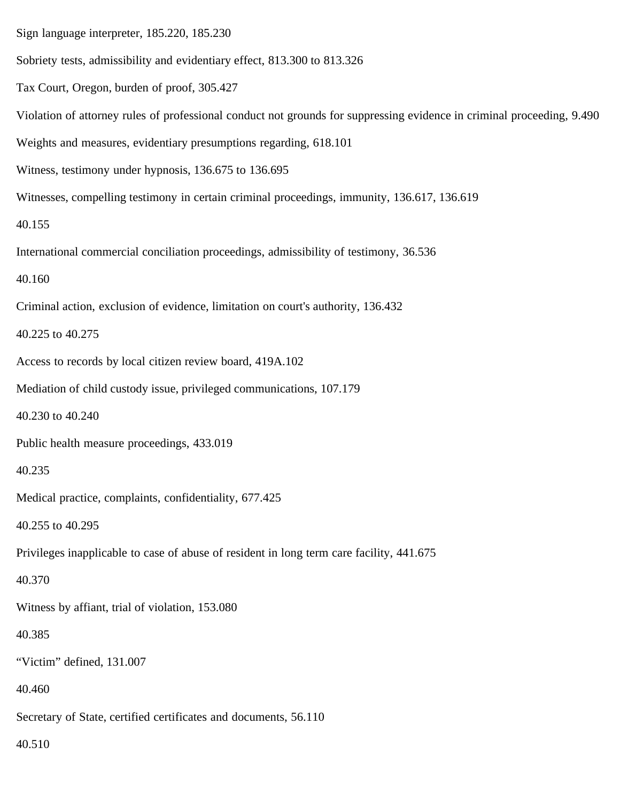Sign language interpreter, 185.220, 185.230 Sobriety tests, admissibility and evidentiary effect, 813.300 to 813.326 Tax Court, Oregon, burden of proof, 305.427 Violation of attorney rules of professional conduct not grounds for suppressing evidence in criminal proceeding, 9.490 Weights and measures, evidentiary presumptions regarding, 618.101 Witness, testimony under hypnosis, 136.675 to 136.695 Witnesses, compelling testimony in certain criminal proceedings, immunity, 136.617, 136.619 40.155 International commercial conciliation proceedings, admissibility of testimony, 36.536 40.160 Criminal action, exclusion of evidence, limitation on court's authority, 136.432 40.225 to 40.275 Access to records by local citizen review board, 419A.102 Mediation of child custody issue, privileged communications, 107.179 40.230 to 40.240 Public health measure proceedings, 433.019 40.235 Medical practice, complaints, confidentiality, 677.425 40.255 to 40.295 Privileges inapplicable to case of abuse of resident in long term care facility, 441.675 40.370 Witness by affiant, trial of violation, 153.080 40.385 "Victim" defined, 131.007 40.460 Secretary of State, certified certificates and documents, 56.110

40.510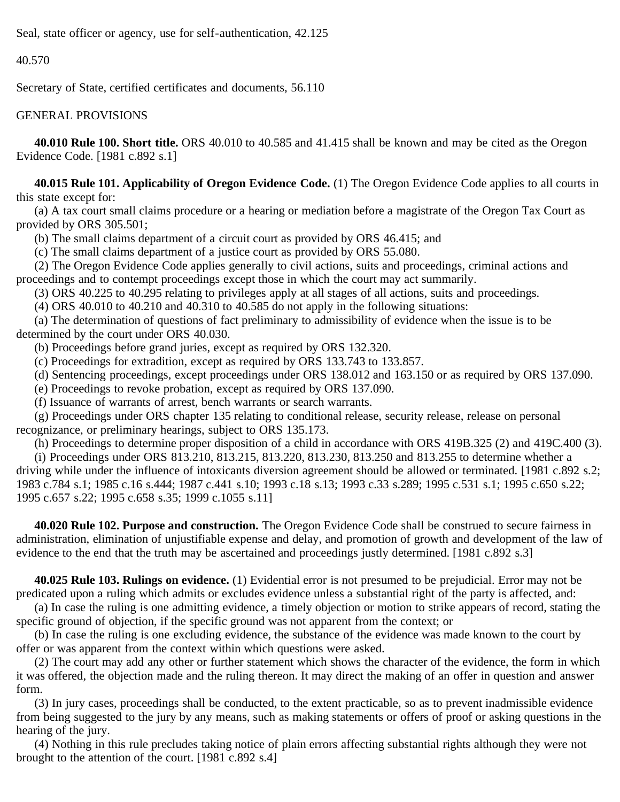Seal, state officer or agency, use for self-authentication, 42.125

40.570

Secretary of State, certified certificates and documents, 56.110

# GENERAL PROVISIONS

 **40.010 Rule 100. Short title.** ORS 40.010 to 40.585 and 41.415 shall be known and may be cited as the Oregon Evidence Code. [1981 c.892 s.1]

 **40.015 Rule 101. Applicability of Oregon Evidence Code.** (1) The Oregon Evidence Code applies to all courts in this state except for:

 (a) A tax court small claims procedure or a hearing or mediation before a magistrate of the Oregon Tax Court as provided by ORS 305.501;

(b) The small claims department of a circuit court as provided by ORS 46.415; and

(c) The small claims department of a justice court as provided by ORS 55.080.

 (2) The Oregon Evidence Code applies generally to civil actions, suits and proceedings, criminal actions and proceedings and to contempt proceedings except those in which the court may act summarily.

(3) ORS 40.225 to 40.295 relating to privileges apply at all stages of all actions, suits and proceedings.

(4) ORS 40.010 to 40.210 and 40.310 to 40.585 do not apply in the following situations:

 (a) The determination of questions of fact preliminary to admissibility of evidence when the issue is to be determined by the court under ORS 40.030.

(b) Proceedings before grand juries, except as required by ORS 132.320.

(c) Proceedings for extradition, except as required by ORS 133.743 to 133.857.

(d) Sentencing proceedings, except proceedings under ORS 138.012 and 163.150 or as required by ORS 137.090.

(e) Proceedings to revoke probation, except as required by ORS 137.090.

(f) Issuance of warrants of arrest, bench warrants or search warrants.

 (g) Proceedings under ORS chapter 135 relating to conditional release, security release, release on personal recognizance, or preliminary hearings, subject to ORS 135.173.

(h) Proceedings to determine proper disposition of a child in accordance with ORS 419B.325 (2) and 419C.400 (3).

 (i) Proceedings under ORS 813.210, 813.215, 813.220, 813.230, 813.250 and 813.255 to determine whether a driving while under the influence of intoxicants diversion agreement should be allowed or terminated. [1981 c.892 s.2; 1983 c.784 s.1; 1985 c.16 s.444; 1987 c.441 s.10; 1993 c.18 s.13; 1993 c.33 s.289; 1995 c.531 s.1; 1995 c.650 s.22; 1995 c.657 s.22; 1995 c.658 s.35; 1999 c.1055 s.11]

 **40.020 Rule 102. Purpose and construction.** The Oregon Evidence Code shall be construed to secure fairness in administration, elimination of unjustifiable expense and delay, and promotion of growth and development of the law of evidence to the end that the truth may be ascertained and proceedings justly determined. [1981 c.892 s.3]

 **40.025 Rule 103. Rulings on evidence.** (1) Evidential error is not presumed to be prejudicial. Error may not be predicated upon a ruling which admits or excludes evidence unless a substantial right of the party is affected, and:

 (a) In case the ruling is one admitting evidence, a timely objection or motion to strike appears of record, stating the specific ground of objection, if the specific ground was not apparent from the context; or

 (b) In case the ruling is one excluding evidence, the substance of the evidence was made known to the court by offer or was apparent from the context within which questions were asked.

 (2) The court may add any other or further statement which shows the character of the evidence, the form in which it was offered, the objection made and the ruling thereon. It may direct the making of an offer in question and answer form.

 (3) In jury cases, proceedings shall be conducted, to the extent practicable, so as to prevent inadmissible evidence from being suggested to the jury by any means, such as making statements or offers of proof or asking questions in the hearing of the jury.

 (4) Nothing in this rule precludes taking notice of plain errors affecting substantial rights although they were not brought to the attention of the court. [1981 c.892 s.4]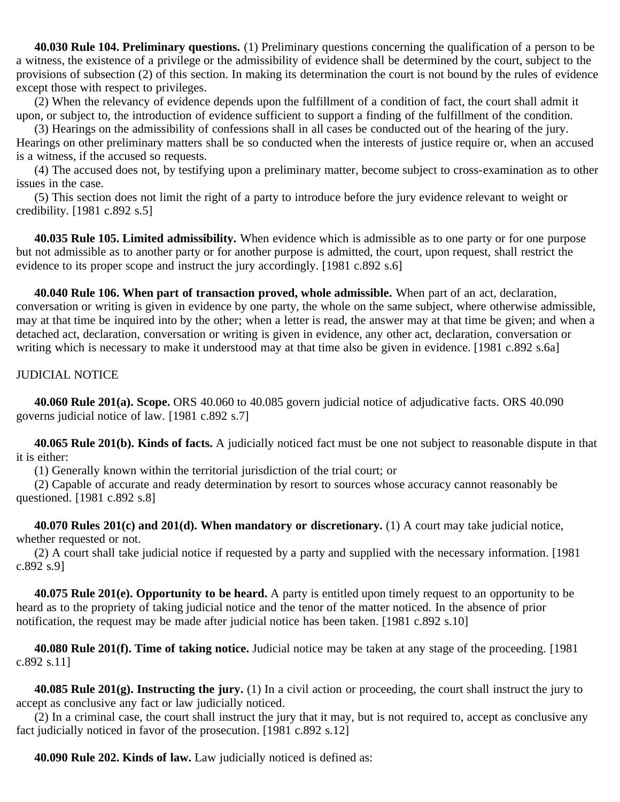**40.030 Rule 104. Preliminary questions.** (1) Preliminary questions concerning the qualification of a person to be a witness, the existence of a privilege or the admissibility of evidence shall be determined by the court, subject to the provisions of subsection (2) of this section. In making its determination the court is not bound by the rules of evidence except those with respect to privileges.

 (2) When the relevancy of evidence depends upon the fulfillment of a condition of fact, the court shall admit it upon, or subject to, the introduction of evidence sufficient to support a finding of the fulfillment of the condition.

 (3) Hearings on the admissibility of confessions shall in all cases be conducted out of the hearing of the jury. Hearings on other preliminary matters shall be so conducted when the interests of justice require or, when an accused is a witness, if the accused so requests.

 (4) The accused does not, by testifying upon a preliminary matter, become subject to cross-examination as to other issues in the case.

 (5) This section does not limit the right of a party to introduce before the jury evidence relevant to weight or credibility. [1981 c.892 s.5]

 **40.035 Rule 105. Limited admissibility.** When evidence which is admissible as to one party or for one purpose but not admissible as to another party or for another purpose is admitted, the court, upon request, shall restrict the evidence to its proper scope and instruct the jury accordingly. [1981 c.892 s.6]

 **40.040 Rule 106. When part of transaction proved, whole admissible.** When part of an act, declaration, conversation or writing is given in evidence by one party, the whole on the same subject, where otherwise admissible, may at that time be inquired into by the other; when a letter is read, the answer may at that time be given; and when a detached act, declaration, conversation or writing is given in evidence, any other act, declaration, conversation or writing which is necessary to make it understood may at that time also be given in evidence. [1981 c.892 s.6a]

## JUDICIAL NOTICE

 **40.060 Rule 201(a). Scope.** ORS 40.060 to 40.085 govern judicial notice of adjudicative facts. ORS 40.090 governs judicial notice of law. [1981 c.892 s.7]

 **40.065 Rule 201(b). Kinds of facts.** A judicially noticed fact must be one not subject to reasonable dispute in that it is either:

(1) Generally known within the territorial jurisdiction of the trial court; or

 (2) Capable of accurate and ready determination by resort to sources whose accuracy cannot reasonably be questioned. [1981 c.892 s.8]

 **40.070 Rules 201(c) and 201(d). When mandatory or discretionary.** (1) A court may take judicial notice, whether requested or not.

 (2) A court shall take judicial notice if requested by a party and supplied with the necessary information. [1981 c.892 s.9]

 **40.075 Rule 201(e). Opportunity to be heard.** A party is entitled upon timely request to an opportunity to be heard as to the propriety of taking judicial notice and the tenor of the matter noticed. In the absence of prior notification, the request may be made after judicial notice has been taken. [1981 c.892 s.10]

 **40.080 Rule 201(f). Time of taking notice.** Judicial notice may be taken at any stage of the proceeding. [1981 c.892 s.11]

 **40.085 Rule 201(g). Instructing the jury.** (1) In a civil action or proceeding, the court shall instruct the jury to accept as conclusive any fact or law judicially noticed.

 (2) In a criminal case, the court shall instruct the jury that it may, but is not required to, accept as conclusive any fact judicially noticed in favor of the prosecution. [1981 c.892 s.12]

 **40.090 Rule 202. Kinds of law.** Law judicially noticed is defined as: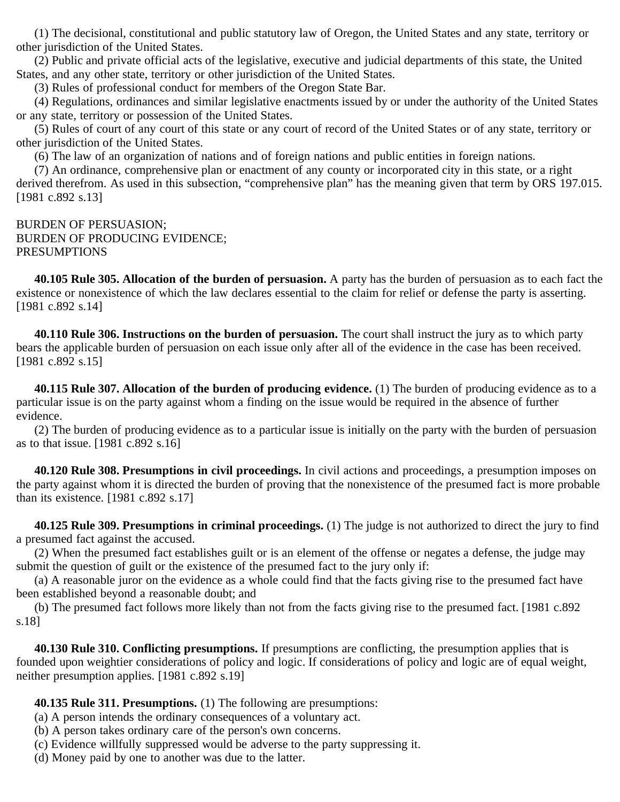(1) The decisional, constitutional and public statutory law of Oregon, the United States and any state, territory or other jurisdiction of the United States.

 (2) Public and private official acts of the legislative, executive and judicial departments of this state, the United States, and any other state, territory or other jurisdiction of the United States.

(3) Rules of professional conduct for members of the Oregon State Bar.

 (4) Regulations, ordinances and similar legislative enactments issued by or under the authority of the United States or any state, territory or possession of the United States.

 (5) Rules of court of any court of this state or any court of record of the United States or of any state, territory or other jurisdiction of the United States.

(6) The law of an organization of nations and of foreign nations and public entities in foreign nations.

 (7) An ordinance, comprehensive plan or enactment of any county or incorporated city in this state, or a right derived therefrom. As used in this subsection, "comprehensive plan" has the meaning given that term by ORS 197.015. [1981 c.892 s.13]

# BURDEN OF PERSUASION; BURDEN OF PRODUCING EVIDENCE; PRESUMPTIONS

 **40.105 Rule 305. Allocation of the burden of persuasion.** A party has the burden of persuasion as to each fact the existence or nonexistence of which the law declares essential to the claim for relief or defense the party is asserting. [1981 c.892 s.14]

 **40.110 Rule 306. Instructions on the burden of persuasion.** The court shall instruct the jury as to which party bears the applicable burden of persuasion on each issue only after all of the evidence in the case has been received. [1981 c.892 s.15]

 **40.115 Rule 307. Allocation of the burden of producing evidence.** (1) The burden of producing evidence as to a particular issue is on the party against whom a finding on the issue would be required in the absence of further evidence.

 (2) The burden of producing evidence as to a particular issue is initially on the party with the burden of persuasion as to that issue. [1981 c.892 s.16]

 **40.120 Rule 308. Presumptions in civil proceedings.** In civil actions and proceedings, a presumption imposes on the party against whom it is directed the burden of proving that the nonexistence of the presumed fact is more probable than its existence. [1981 c.892 s.17]

**40.125 Rule 309. Presumptions in criminal proceedings.** (1) The judge is not authorized to direct the jury to find a presumed fact against the accused.

 (2) When the presumed fact establishes guilt or is an element of the offense or negates a defense, the judge may submit the question of guilt or the existence of the presumed fact to the jury only if:

 (a) A reasonable juror on the evidence as a whole could find that the facts giving rise to the presumed fact have been established beyond a reasonable doubt; and

 (b) The presumed fact follows more likely than not from the facts giving rise to the presumed fact. [1981 c.892 s.18]

 **40.130 Rule 310. Conflicting presumptions.** If presumptions are conflicting, the presumption applies that is founded upon weightier considerations of policy and logic. If considerations of policy and logic are of equal weight, neither presumption applies. [1981 c.892 s.19]

# **40.135 Rule 311. Presumptions.** (1) The following are presumptions:

(a) A person intends the ordinary consequences of a voluntary act.

(b) A person takes ordinary care of the person's own concerns.

(c) Evidence willfully suppressed would be adverse to the party suppressing it.

(d) Money paid by one to another was due to the latter.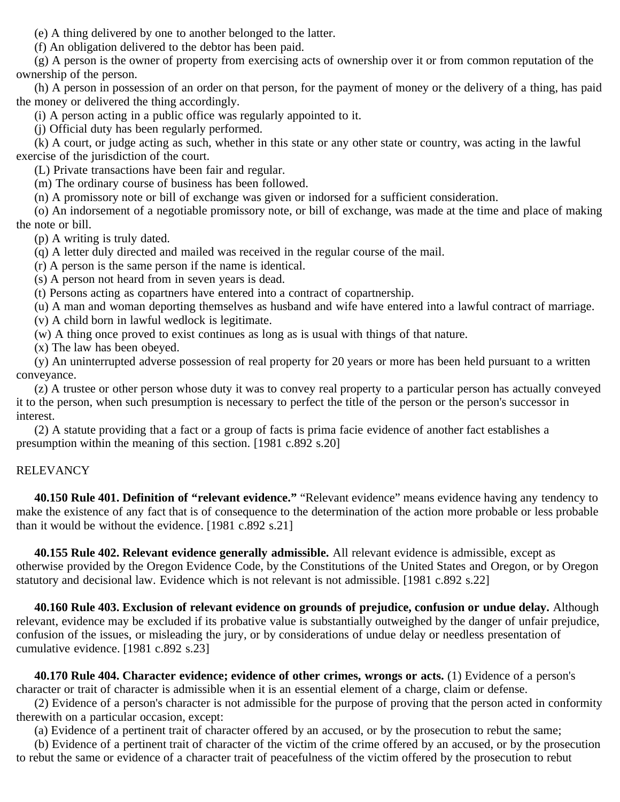(e) A thing delivered by one to another belonged to the latter.

(f) An obligation delivered to the debtor has been paid.

 (g) A person is the owner of property from exercising acts of ownership over it or from common reputation of the ownership of the person.

 (h) A person in possession of an order on that person, for the payment of money or the delivery of a thing, has paid the money or delivered the thing accordingly.

(i) A person acting in a public office was regularly appointed to it.

(j) Official duty has been regularly performed.

 (k) A court, or judge acting as such, whether in this state or any other state or country, was acting in the lawful exercise of the jurisdiction of the court.

(L) Private transactions have been fair and regular.

(m) The ordinary course of business has been followed.

(n) A promissory note or bill of exchange was given or indorsed for a sufficient consideration.

 (o) An indorsement of a negotiable promissory note, or bill of exchange, was made at the time and place of making the note or bill.

(p) A writing is truly dated.

(q) A letter duly directed and mailed was received in the regular course of the mail.

(r) A person is the same person if the name is identical.

(s) A person not heard from in seven years is dead.

(t) Persons acting as copartners have entered into a contract of copartnership.

(u) A man and woman deporting themselves as husband and wife have entered into a lawful contract of marriage.

(v) A child born in lawful wedlock is legitimate.

(w) A thing once proved to exist continues as long as is usual with things of that nature.

(x) The law has been obeyed.

 (y) An uninterrupted adverse possession of real property for 20 years or more has been held pursuant to a written conveyance.

 (z) A trustee or other person whose duty it was to convey real property to a particular person has actually conveyed it to the person, when such presumption is necessary to perfect the title of the person or the person's successor in interest.

 (2) A statute providing that a fact or a group of facts is prima facie evidence of another fact establishes a presumption within the meaning of this section. [1981 c.892 s.20]

## RELEVANCY

 **40.150 Rule 401. Definition of "relevant evidence."** "Relevant evidence" means evidence having any tendency to make the existence of any fact that is of consequence to the determination of the action more probable or less probable than it would be without the evidence. [1981 c.892 s.21]

 **40.155 Rule 402. Relevant evidence generally admissible.** All relevant evidence is admissible, except as otherwise provided by the Oregon Evidence Code, by the Constitutions of the United States and Oregon, or by Oregon statutory and decisional law. Evidence which is not relevant is not admissible. [1981 c.892 s.22]

 **40.160 Rule 403. Exclusion of relevant evidence on grounds of prejudice, confusion or undue delay.** Although relevant, evidence may be excluded if its probative value is substantially outweighed by the danger of unfair prejudice, confusion of the issues, or misleading the jury, or by considerations of undue delay or needless presentation of cumulative evidence. [1981 c.892 s.23]

 **40.170 Rule 404. Character evidence; evidence of other crimes, wrongs or acts.** (1) Evidence of a person's character or trait of character is admissible when it is an essential element of a charge, claim or defense.

 (2) Evidence of a person's character is not admissible for the purpose of proving that the person acted in conformity therewith on a particular occasion, except:

(a) Evidence of a pertinent trait of character offered by an accused, or by the prosecution to rebut the same;

 (b) Evidence of a pertinent trait of character of the victim of the crime offered by an accused, or by the prosecution to rebut the same or evidence of a character trait of peacefulness of the victim offered by the prosecution to rebut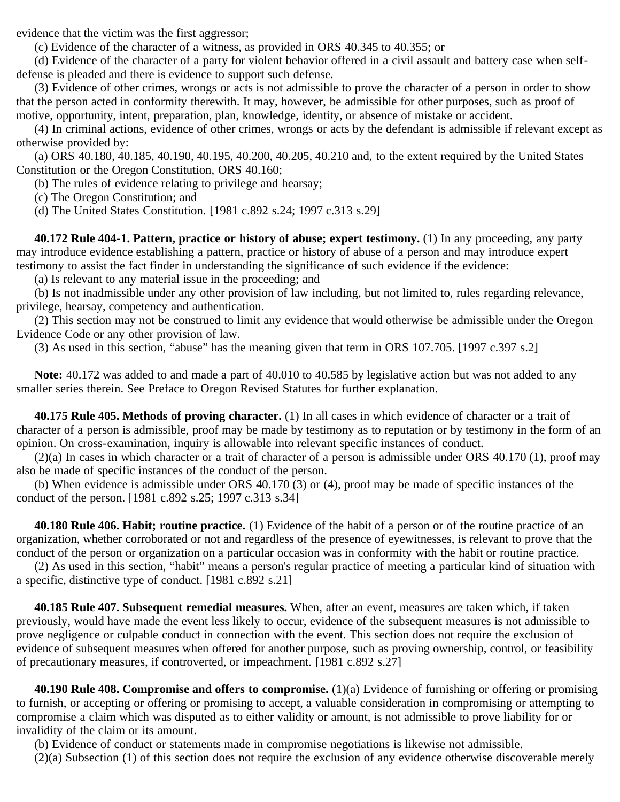evidence that the victim was the first aggressor;

(c) Evidence of the character of a witness, as provided in ORS 40.345 to 40.355; or

 (d) Evidence of the character of a party for violent behavior offered in a civil assault and battery case when selfdefense is pleaded and there is evidence to support such defense.

 (3) Evidence of other crimes, wrongs or acts is not admissible to prove the character of a person in order to show that the person acted in conformity therewith. It may, however, be admissible for other purposes, such as proof of motive, opportunity, intent, preparation, plan, knowledge, identity, or absence of mistake or accident.

 (4) In criminal actions, evidence of other crimes, wrongs or acts by the defendant is admissible if relevant except as otherwise provided by:

 (a) ORS 40.180, 40.185, 40.190, 40.195, 40.200, 40.205, 40.210 and, to the extent required by the United States Constitution or the Oregon Constitution, ORS 40.160;

(b) The rules of evidence relating to privilege and hearsay;

(c) The Oregon Constitution; and

(d) The United States Constitution. [1981 c.892 s.24; 1997 c.313 s.29]

 **40.172 Rule 404-1. Pattern, practice or history of abuse; expert testimony.** (1) In any proceeding, any party may introduce evidence establishing a pattern, practice or history of abuse of a person and may introduce expert testimony to assist the fact finder in understanding the significance of such evidence if the evidence:

(a) Is relevant to any material issue in the proceeding; and

 (b) Is not inadmissible under any other provision of law including, but not limited to, rules regarding relevance, privilege, hearsay, competency and authentication.

 (2) This section may not be construed to limit any evidence that would otherwise be admissible under the Oregon Evidence Code or any other provision of law.

(3) As used in this section, "abuse" has the meaning given that term in ORS 107.705. [1997 c.397 s.2]

 **Note:** 40.172 was added to and made a part of 40.010 to 40.585 by legislative action but was not added to any smaller series therein. See Preface to Oregon Revised Statutes for further explanation.

 **40.175 Rule 405. Methods of proving character.** (1) In all cases in which evidence of character or a trait of character of a person is admissible, proof may be made by testimony as to reputation or by testimony in the form of an opinion. On cross-examination, inquiry is allowable into relevant specific instances of conduct.

 (2)(a) In cases in which character or a trait of character of a person is admissible under ORS 40.170 (1), proof may also be made of specific instances of the conduct of the person.

 (b) When evidence is admissible under ORS 40.170 (3) or (4), proof may be made of specific instances of the conduct of the person. [1981 c.892 s.25; 1997 c.313 s.34]

 **40.180 Rule 406. Habit; routine practice.** (1) Evidence of the habit of a person or of the routine practice of an organization, whether corroborated or not and regardless of the presence of eyewitnesses, is relevant to prove that the conduct of the person or organization on a particular occasion was in conformity with the habit or routine practice.

 (2) As used in this section, "habit" means a person's regular practice of meeting a particular kind of situation with a specific, distinctive type of conduct. [1981 c.892 s.21]

 **40.185 Rule 407. Subsequent remedial measures.** When, after an event, measures are taken which, if taken previously, would have made the event less likely to occur, evidence of the subsequent measures is not admissible to prove negligence or culpable conduct in connection with the event. This section does not require the exclusion of evidence of subsequent measures when offered for another purpose, such as proving ownership, control, or feasibility of precautionary measures, if controverted, or impeachment. [1981 c.892 s.27]

 **40.190 Rule 408. Compromise and offers to compromise.** (1)(a) Evidence of furnishing or offering or promising to furnish, or accepting or offering or promising to accept, a valuable consideration in compromising or attempting to compromise a claim which was disputed as to either validity or amount, is not admissible to prove liability for or invalidity of the claim or its amount.

(b) Evidence of conduct or statements made in compromise negotiations is likewise not admissible.

(2)(a) Subsection (1) of this section does not require the exclusion of any evidence otherwise discoverable merely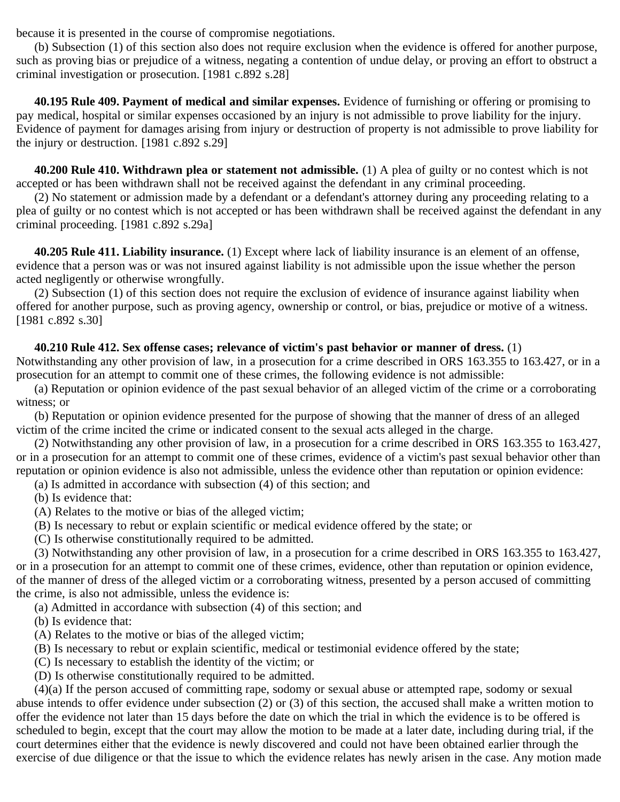because it is presented in the course of compromise negotiations.

 (b) Subsection (1) of this section also does not require exclusion when the evidence is offered for another purpose, such as proving bias or prejudice of a witness, negating a contention of undue delay, or proving an effort to obstruct a criminal investigation or prosecution. [1981 c.892 s.28]

 **40.195 Rule 409. Payment of medical and similar expenses.** Evidence of furnishing or offering or promising to pay medical, hospital or similar expenses occasioned by an injury is not admissible to prove liability for the injury. Evidence of payment for damages arising from injury or destruction of property is not admissible to prove liability for the injury or destruction. [1981 c.892 s.29]

 **40.200 Rule 410. Withdrawn plea or statement not admissible.** (1) A plea of guilty or no contest which is not accepted or has been withdrawn shall not be received against the defendant in any criminal proceeding.

 (2) No statement or admission made by a defendant or a defendant's attorney during any proceeding relating to a plea of guilty or no contest which is not accepted or has been withdrawn shall be received against the defendant in any criminal proceeding. [1981 c.892 s.29a]

 **40.205 Rule 411. Liability insurance.** (1) Except where lack of liability insurance is an element of an offense, evidence that a person was or was not insured against liability is not admissible upon the issue whether the person acted negligently or otherwise wrongfully.

 (2) Subsection (1) of this section does not require the exclusion of evidence of insurance against liability when offered for another purpose, such as proving agency, ownership or control, or bias, prejudice or motive of a witness. [1981 c.892 s.30]

# **40.210 Rule 412. Sex offense cases; relevance of victim's past behavior or manner of dress.** (1)

Notwithstanding any other provision of law, in a prosecution for a crime described in ORS 163.355 to 163.427, or in a prosecution for an attempt to commit one of these crimes, the following evidence is not admissible:

 (a) Reputation or opinion evidence of the past sexual behavior of an alleged victim of the crime or a corroborating witness; or

 (b) Reputation or opinion evidence presented for the purpose of showing that the manner of dress of an alleged victim of the crime incited the crime or indicated consent to the sexual acts alleged in the charge.

 (2) Notwithstanding any other provision of law, in a prosecution for a crime described in ORS 163.355 to 163.427, or in a prosecution for an attempt to commit one of these crimes, evidence of a victim's past sexual behavior other than reputation or opinion evidence is also not admissible, unless the evidence other than reputation or opinion evidence:

(a) Is admitted in accordance with subsection (4) of this section; and

- (b) Is evidence that:
- (A) Relates to the motive or bias of the alleged victim;
- (B) Is necessary to rebut or explain scientific or medical evidence offered by the state; or
- (C) Is otherwise constitutionally required to be admitted.

 (3) Notwithstanding any other provision of law, in a prosecution for a crime described in ORS 163.355 to 163.427, or in a prosecution for an attempt to commit one of these crimes, evidence, other than reputation or opinion evidence, of the manner of dress of the alleged victim or a corroborating witness, presented by a person accused of committing the crime, is also not admissible, unless the evidence is:

- (a) Admitted in accordance with subsection (4) of this section; and
- (b) Is evidence that:
- (A) Relates to the motive or bias of the alleged victim;
- (B) Is necessary to rebut or explain scientific, medical or testimonial evidence offered by the state;
- (C) Is necessary to establish the identity of the victim; or
- (D) Is otherwise constitutionally required to be admitted.

 (4)(a) If the person accused of committing rape, sodomy or sexual abuse or attempted rape, sodomy or sexual abuse intends to offer evidence under subsection (2) or (3) of this section, the accused shall make a written motion to offer the evidence not later than 15 days before the date on which the trial in which the evidence is to be offered is scheduled to begin, except that the court may allow the motion to be made at a later date, including during trial, if the court determines either that the evidence is newly discovered and could not have been obtained earlier through the exercise of due diligence or that the issue to which the evidence relates has newly arisen in the case. Any motion made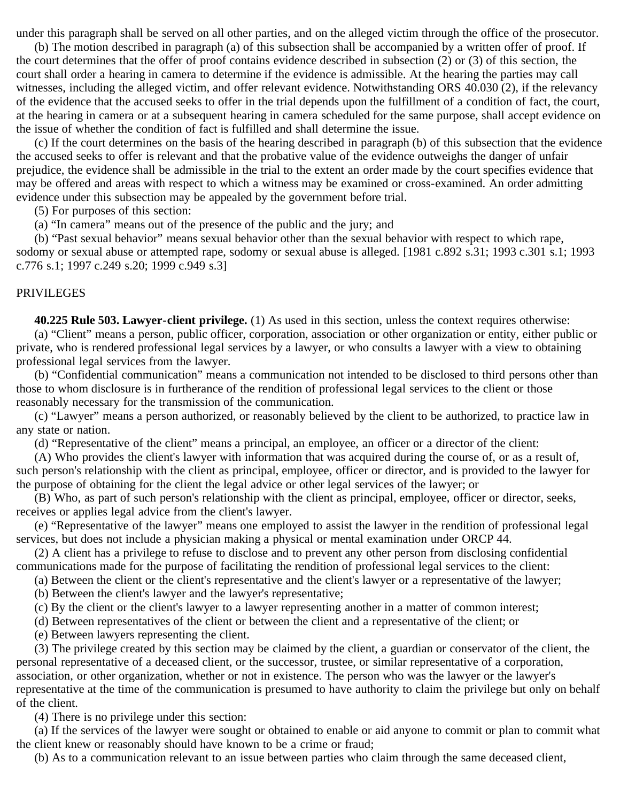under this paragraph shall be served on all other parties, and on the alleged victim through the office of the prosecutor.

 (b) The motion described in paragraph (a) of this subsection shall be accompanied by a written offer of proof. If the court determines that the offer of proof contains evidence described in subsection (2) or (3) of this section, the court shall order a hearing in camera to determine if the evidence is admissible. At the hearing the parties may call witnesses, including the alleged victim, and offer relevant evidence. Notwithstanding ORS 40.030 (2), if the relevancy of the evidence that the accused seeks to offer in the trial depends upon the fulfillment of a condition of fact, the court, at the hearing in camera or at a subsequent hearing in camera scheduled for the same purpose, shall accept evidence on the issue of whether the condition of fact is fulfilled and shall determine the issue.

 (c) If the court determines on the basis of the hearing described in paragraph (b) of this subsection that the evidence the accused seeks to offer is relevant and that the probative value of the evidence outweighs the danger of unfair prejudice, the evidence shall be admissible in the trial to the extent an order made by the court specifies evidence that may be offered and areas with respect to which a witness may be examined or cross-examined. An order admitting evidence under this subsection may be appealed by the government before trial.

(5) For purposes of this section:

(a) "In camera" means out of the presence of the public and the jury; and

 (b) "Past sexual behavior" means sexual behavior other than the sexual behavior with respect to which rape, sodomy or sexual abuse or attempted rape, sodomy or sexual abuse is alleged. [1981 c.892 s.31; 1993 c.301 s.1; 1993 c.776 s.1; 1997 c.249 s.20; 1999 c.949 s.3]

## PRIVILEGES

 **40.225 Rule 503. Lawyer-client privilege.** (1) As used in this section, unless the context requires otherwise: (a) "Client" means a person, public officer, corporation, association or other organization or entity, either public or private, who is rendered professional legal services by a lawyer, or who consults a lawyer with a view to obtaining professional legal services from the lawyer.

 (b) "Confidential communication" means a communication not intended to be disclosed to third persons other than those to whom disclosure is in furtherance of the rendition of professional legal services to the client or those reasonably necessary for the transmission of the communication.

 (c) "Lawyer" means a person authorized, or reasonably believed by the client to be authorized, to practice law in any state or nation.

(d) "Representative of the client" means a principal, an employee, an officer or a director of the client:

 (A) Who provides the client's lawyer with information that was acquired during the course of, or as a result of, such person's relationship with the client as principal, employee, officer or director, and is provided to the lawyer for the purpose of obtaining for the client the legal advice or other legal services of the lawyer; or

 (B) Who, as part of such person's relationship with the client as principal, employee, officer or director, seeks, receives or applies legal advice from the client's lawyer.

 (e) "Representative of the lawyer" means one employed to assist the lawyer in the rendition of professional legal services, but does not include a physician making a physical or mental examination under ORCP 44.

 (2) A client has a privilege to refuse to disclose and to prevent any other person from disclosing confidential communications made for the purpose of facilitating the rendition of professional legal services to the client:

(a) Between the client or the client's representative and the client's lawyer or a representative of the lawyer;

(b) Between the client's lawyer and the lawyer's representative;

(c) By the client or the client's lawyer to a lawyer representing another in a matter of common interest;

(d) Between representatives of the client or between the client and a representative of the client; or

(e) Between lawyers representing the client.

 (3) The privilege created by this section may be claimed by the client, a guardian or conservator of the client, the personal representative of a deceased client, or the successor, trustee, or similar representative of a corporation, association, or other organization, whether or not in existence. The person who was the lawyer or the lawyer's representative at the time of the communication is presumed to have authority to claim the privilege but only on behalf of the client.

(4) There is no privilege under this section:

 (a) If the services of the lawyer were sought or obtained to enable or aid anyone to commit or plan to commit what the client knew or reasonably should have known to be a crime or fraud;

(b) As to a communication relevant to an issue between parties who claim through the same deceased client,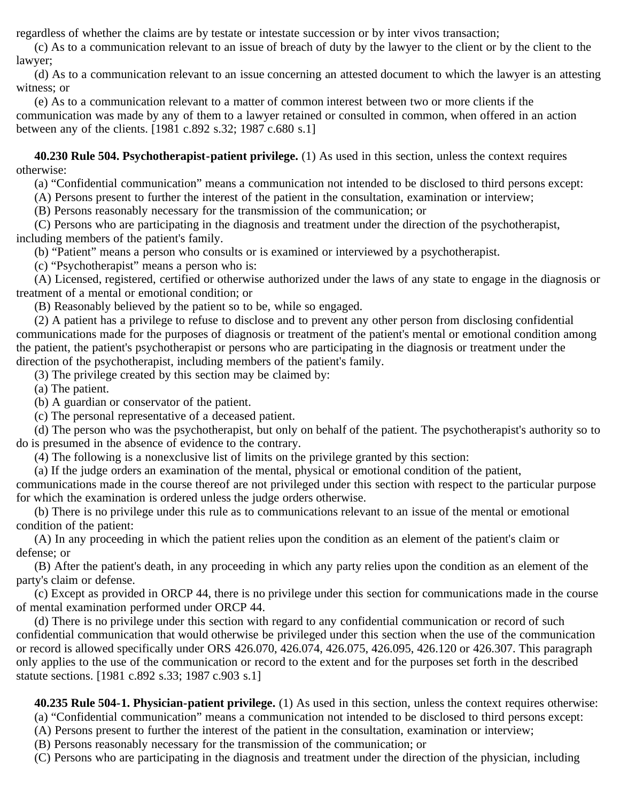regardless of whether the claims are by testate or intestate succession or by inter vivos transaction;

 (c) As to a communication relevant to an issue of breach of duty by the lawyer to the client or by the client to the lawyer;

 (d) As to a communication relevant to an issue concerning an attested document to which the lawyer is an attesting witness; or

 (e) As to a communication relevant to a matter of common interest between two or more clients if the communication was made by any of them to a lawyer retained or consulted in common, when offered in an action between any of the clients. [1981 c.892 s.32; 1987 c.680 s.1]

 **40.230 Rule 504. Psychotherapist-patient privilege.** (1) As used in this section, unless the context requires otherwise:

(a) "Confidential communication" means a communication not intended to be disclosed to third persons except:

(A) Persons present to further the interest of the patient in the consultation, examination or interview;

(B) Persons reasonably necessary for the transmission of the communication; or

 (C) Persons who are participating in the diagnosis and treatment under the direction of the psychotherapist, including members of the patient's family.

(b) "Patient" means a person who consults or is examined or interviewed by a psychotherapist.

(c) "Psychotherapist" means a person who is:

 (A) Licensed, registered, certified or otherwise authorized under the laws of any state to engage in the diagnosis or treatment of a mental or emotional condition; or

(B) Reasonably believed by the patient so to be, while so engaged.

 (2) A patient has a privilege to refuse to disclose and to prevent any other person from disclosing confidential communications made for the purposes of diagnosis or treatment of the patient's mental or emotional condition among the patient, the patient's psychotherapist or persons who are participating in the diagnosis or treatment under the direction of the psychotherapist, including members of the patient's family.

(3) The privilege created by this section may be claimed by:

(a) The patient.

(b) A guardian or conservator of the patient.

(c) The personal representative of a deceased patient.

 (d) The person who was the psychotherapist, but only on behalf of the patient. The psychotherapist's authority so to do is presumed in the absence of evidence to the contrary.

(4) The following is a nonexclusive list of limits on the privilege granted by this section:

(a) If the judge orders an examination of the mental, physical or emotional condition of the patient,

communications made in the course thereof are not privileged under this section with respect to the particular purpose for which the examination is ordered unless the judge orders otherwise.

 (b) There is no privilege under this rule as to communications relevant to an issue of the mental or emotional condition of the patient:

 (A) In any proceeding in which the patient relies upon the condition as an element of the patient's claim or defense; or

 (B) After the patient's death, in any proceeding in which any party relies upon the condition as an element of the party's claim or defense.

 (c) Except as provided in ORCP 44, there is no privilege under this section for communications made in the course of mental examination performed under ORCP 44.

 (d) There is no privilege under this section with regard to any confidential communication or record of such confidential communication that would otherwise be privileged under this section when the use of the communication or record is allowed specifically under ORS 426.070, 426.074, 426.075, 426.095, 426.120 or 426.307. This paragraph only applies to the use of the communication or record to the extent and for the purposes set forth in the described statute sections. [1981 c.892 s.33; 1987 c.903 s.1]

 **40.235 Rule 504-1. Physician-patient privilege.** (1) As used in this section, unless the context requires otherwise:

 (a) "Confidential communication" means a communication not intended to be disclosed to third persons except: (A) Persons present to further the interest of the patient in the consultation, examination or interview;

(B) Persons reasonably necessary for the transmission of the communication; or

(C) Persons who are participating in the diagnosis and treatment under the direction of the physician, including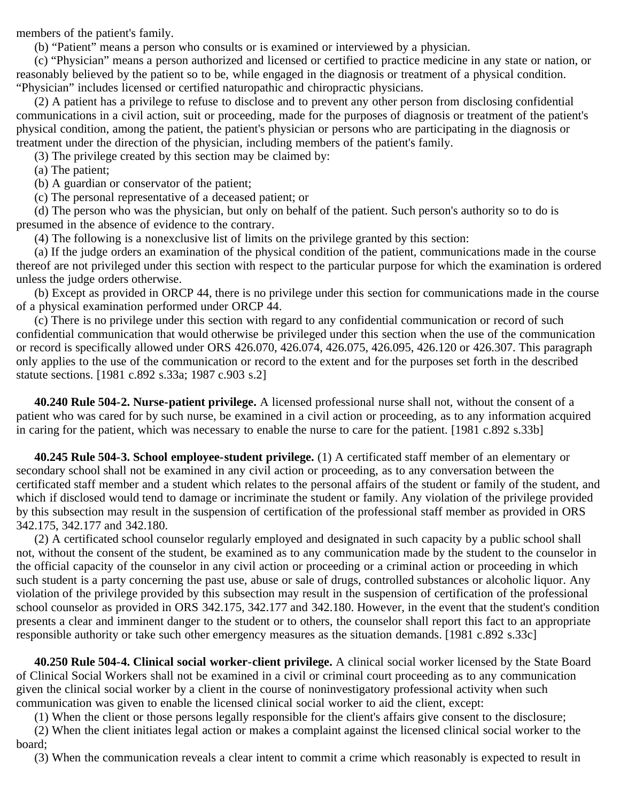members of the patient's family.

(b) "Patient" means a person who consults or is examined or interviewed by a physician.

 (c) "Physician" means a person authorized and licensed or certified to practice medicine in any state or nation, or reasonably believed by the patient so to be, while engaged in the diagnosis or treatment of a physical condition. "Physician" includes licensed or certified naturopathic and chiropractic physicians.

 (2) A patient has a privilege to refuse to disclose and to prevent any other person from disclosing confidential communications in a civil action, suit or proceeding, made for the purposes of diagnosis or treatment of the patient's physical condition, among the patient, the patient's physician or persons who are participating in the diagnosis or treatment under the direction of the physician, including members of the patient's family.

(3) The privilege created by this section may be claimed by:

(a) The patient;

(b) A guardian or conservator of the patient;

(c) The personal representative of a deceased patient; or

 (d) The person who was the physician, but only on behalf of the patient. Such person's authority so to do is presumed in the absence of evidence to the contrary.

(4) The following is a nonexclusive list of limits on the privilege granted by this section:

 (a) If the judge orders an examination of the physical condition of the patient, communications made in the course thereof are not privileged under this section with respect to the particular purpose for which the examination is ordered unless the judge orders otherwise.

 (b) Except as provided in ORCP 44, there is no privilege under this section for communications made in the course of a physical examination performed under ORCP 44.

 (c) There is no privilege under this section with regard to any confidential communication or record of such confidential communication that would otherwise be privileged under this section when the use of the communication or record is specifically allowed under ORS 426.070, 426.074, 426.075, 426.095, 426.120 or 426.307. This paragraph only applies to the use of the communication or record to the extent and for the purposes set forth in the described statute sections. [1981 c.892 s.33a; 1987 c.903 s.2]

 **40.240 Rule 504-2. Nurse-patient privilege.** A licensed professional nurse shall not, without the consent of a patient who was cared for by such nurse, be examined in a civil action or proceeding, as to any information acquired in caring for the patient, which was necessary to enable the nurse to care for the patient. [1981 c.892 s.33b]

 **40.245 Rule 504-3. School employee-student privilege.** (1) A certificated staff member of an elementary or secondary school shall not be examined in any civil action or proceeding, as to any conversation between the certificated staff member and a student which relates to the personal affairs of the student or family of the student, and which if disclosed would tend to damage or incriminate the student or family. Any violation of the privilege provided by this subsection may result in the suspension of certification of the professional staff member as provided in ORS 342.175, 342.177 and 342.180.

 (2) A certificated school counselor regularly employed and designated in such capacity by a public school shall not, without the consent of the student, be examined as to any communication made by the student to the counselor in the official capacity of the counselor in any civil action or proceeding or a criminal action or proceeding in which such student is a party concerning the past use, abuse or sale of drugs, controlled substances or alcoholic liquor. Any violation of the privilege provided by this subsection may result in the suspension of certification of the professional school counselor as provided in ORS 342.175, 342.177 and 342.180. However, in the event that the student's condition presents a clear and imminent danger to the student or to others, the counselor shall report this fact to an appropriate responsible authority or take such other emergency measures as the situation demands. [1981 c.892 s.33c]

 **40.250 Rule 504-4. Clinical social worker-client privilege.** A clinical social worker licensed by the State Board of Clinical Social Workers shall not be examined in a civil or criminal court proceeding as to any communication given the clinical social worker by a client in the course of noninvestigatory professional activity when such communication was given to enable the licensed clinical social worker to aid the client, except:

(1) When the client or those persons legally responsible for the client's affairs give consent to the disclosure;

 (2) When the client initiates legal action or makes a complaint against the licensed clinical social worker to the board;

(3) When the communication reveals a clear intent to commit a crime which reasonably is expected to result in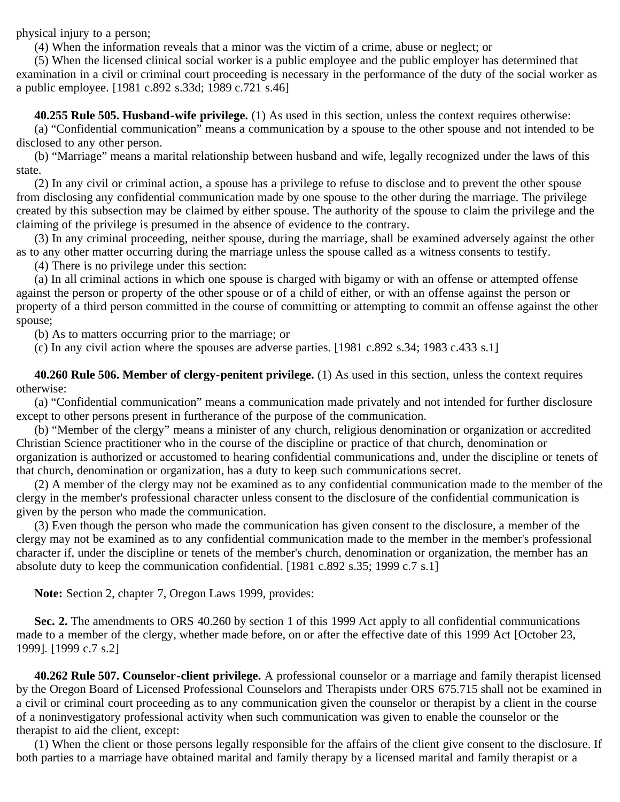physical injury to a person;

(4) When the information reveals that a minor was the victim of a crime, abuse or neglect; or

 (5) When the licensed clinical social worker is a public employee and the public employer has determined that examination in a civil or criminal court proceeding is necessary in the performance of the duty of the social worker as a public employee. [1981 c.892 s.33d; 1989 c.721 s.46]

 **40.255 Rule 505. Husband-wife privilege.** (1) As used in this section, unless the context requires otherwise: (a) "Confidential communication" means a communication by a spouse to the other spouse and not intended to be disclosed to any other person.

 (b) "Marriage" means a marital relationship between husband and wife, legally recognized under the laws of this state.

 (2) In any civil or criminal action, a spouse has a privilege to refuse to disclose and to prevent the other spouse from disclosing any confidential communication made by one spouse to the other during the marriage. The privilege created by this subsection may be claimed by either spouse. The authority of the spouse to claim the privilege and the claiming of the privilege is presumed in the absence of evidence to the contrary.

 (3) In any criminal proceeding, neither spouse, during the marriage, shall be examined adversely against the other as to any other matter occurring during the marriage unless the spouse called as a witness consents to testify.

(4) There is no privilege under this section:

 (a) In all criminal actions in which one spouse is charged with bigamy or with an offense or attempted offense against the person or property of the other spouse or of a child of either, or with an offense against the person or property of a third person committed in the course of committing or attempting to commit an offense against the other spouse;

(b) As to matters occurring prior to the marriage; or

(c) In any civil action where the spouses are adverse parties. [1981 c.892 s.34; 1983 c.433 s.1]

 **40.260 Rule 506. Member of clergy-penitent privilege.** (1) As used in this section, unless the context requires otherwise:

 (a) "Confidential communication" means a communication made privately and not intended for further disclosure except to other persons present in furtherance of the purpose of the communication.

 (b) "Member of the clergy" means a minister of any church, religious denomination or organization or accredited Christian Science practitioner who in the course of the discipline or practice of that church, denomination or organization is authorized or accustomed to hearing confidential communications and, under the discipline or tenets of that church, denomination or organization, has a duty to keep such communications secret.

 (2) A member of the clergy may not be examined as to any confidential communication made to the member of the clergy in the member's professional character unless consent to the disclosure of the confidential communication is given by the person who made the communication.

 (3) Even though the person who made the communication has given consent to the disclosure, a member of the clergy may not be examined as to any confidential communication made to the member in the member's professional character if, under the discipline or tenets of the member's church, denomination or organization, the member has an absolute duty to keep the communication confidential. [1981 c.892 s.35; 1999 c.7 s.1]

 **Note:** Section 2, chapter 7, Oregon Laws 1999, provides:

 **Sec. 2.** The amendments to ORS 40.260 by section 1 of this 1999 Act apply to all confidential communications made to a member of the clergy, whether made before, on or after the effective date of this 1999 Act [October 23, 1999]. [1999 c.7 s.2]

 **40.262 Rule 507. Counselor-client privilege.** A professional counselor or a marriage and family therapist licensed by the Oregon Board of Licensed Professional Counselors and Therapists under ORS 675.715 shall not be examined in a civil or criminal court proceeding as to any communication given the counselor or therapist by a client in the course of a noninvestigatory professional activity when such communication was given to enable the counselor or the therapist to aid the client, except:

 (1) When the client or those persons legally responsible for the affairs of the client give consent to the disclosure. If both parties to a marriage have obtained marital and family therapy by a licensed marital and family therapist or a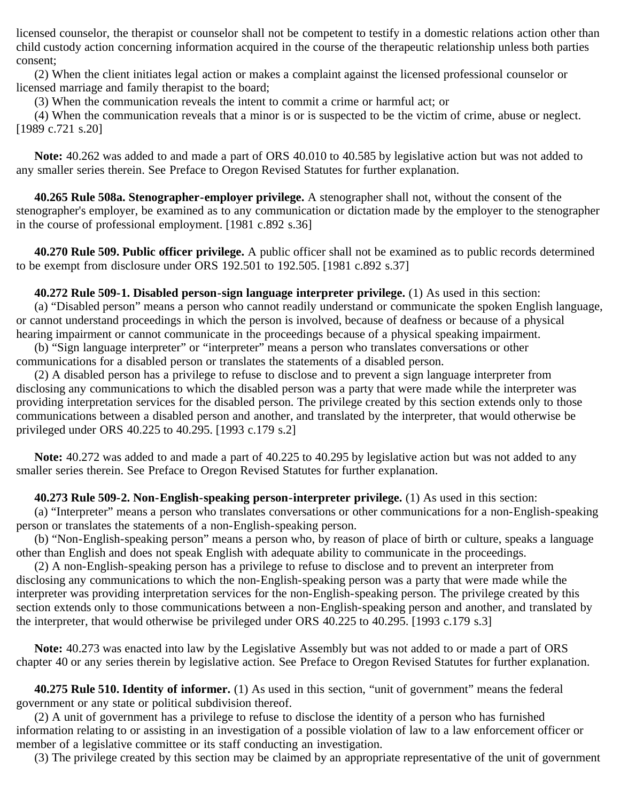licensed counselor, the therapist or counselor shall not be competent to testify in a domestic relations action other than child custody action concerning information acquired in the course of the therapeutic relationship unless both parties consent;

 (2) When the client initiates legal action or makes a complaint against the licensed professional counselor or licensed marriage and family therapist to the board;

(3) When the communication reveals the intent to commit a crime or harmful act; or

 (4) When the communication reveals that a minor is or is suspected to be the victim of crime, abuse or neglect. [1989 c.721 s.20]

 **Note:** 40.262 was added to and made a part of ORS 40.010 to 40.585 by legislative action but was not added to any smaller series therein. See Preface to Oregon Revised Statutes for further explanation.

 **40.265 Rule 508a. Stenographer-employer privilege.** A stenographer shall not, without the consent of the stenographer's employer, be examined as to any communication or dictation made by the employer to the stenographer in the course of professional employment. [1981 c.892 s.36]

 **40.270 Rule 509. Public officer privilege.** A public officer shall not be examined as to public records determined to be exempt from disclosure under ORS 192.501 to 192.505. [1981 c.892 s.37]

# **40.272 Rule 509-1. Disabled person-sign language interpreter privilege.** (1) As used in this section:

 (a) "Disabled person" means a person who cannot readily understand or communicate the spoken English language, or cannot understand proceedings in which the person is involved, because of deafness or because of a physical hearing impairment or cannot communicate in the proceedings because of a physical speaking impairment.

 (b) "Sign language interpreter" or "interpreter" means a person who translates conversations or other communications for a disabled person or translates the statements of a disabled person.

 (2) A disabled person has a privilege to refuse to disclose and to prevent a sign language interpreter from disclosing any communications to which the disabled person was a party that were made while the interpreter was providing interpretation services for the disabled person. The privilege created by this section extends only to those communications between a disabled person and another, and translated by the interpreter, that would otherwise be privileged under ORS 40.225 to 40.295. [1993 c.179 s.2]

 **Note:** 40.272 was added to and made a part of 40.225 to 40.295 by legislative action but was not added to any smaller series therein. See Preface to Oregon Revised Statutes for further explanation.

## **40.273 Rule 509-2. Non-English-speaking person-interpreter privilege.** (1) As used in this section:

 (a) "Interpreter" means a person who translates conversations or other communications for a non-English-speaking person or translates the statements of a non-English-speaking person.

 (b) "Non-English-speaking person" means a person who, by reason of place of birth or culture, speaks a language other than English and does not speak English with adequate ability to communicate in the proceedings.

 (2) A non-English-speaking person has a privilege to refuse to disclose and to prevent an interpreter from disclosing any communications to which the non-English-speaking person was a party that were made while the interpreter was providing interpretation services for the non-English-speaking person. The privilege created by this section extends only to those communications between a non-English-speaking person and another, and translated by the interpreter, that would otherwise be privileged under ORS 40.225 to 40.295. [1993 c.179 s.3]

 **Note:** 40.273 was enacted into law by the Legislative Assembly but was not added to or made a part of ORS chapter 40 or any series therein by legislative action. See Preface to Oregon Revised Statutes for further explanation.

 **40.275 Rule 510. Identity of informer.** (1) As used in this section, "unit of government" means the federal government or any state or political subdivision thereof.

 (2) A unit of government has a privilege to refuse to disclose the identity of a person who has furnished information relating to or assisting in an investigation of a possible violation of law to a law enforcement officer or member of a legislative committee or its staff conducting an investigation.

(3) The privilege created by this section may be claimed by an appropriate representative of the unit of government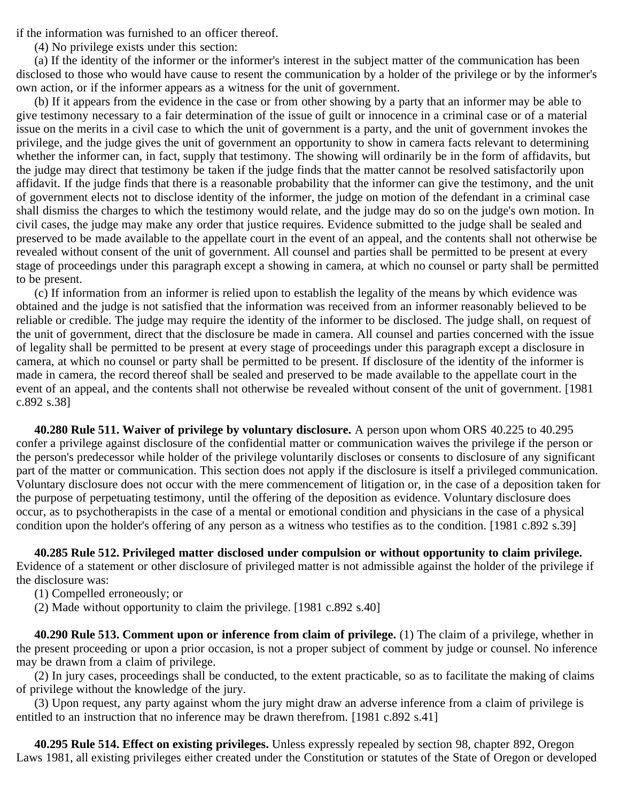if the information was furnished to an officer thereof.

(4) No privilege exists under this section:

 (a) If the identity of the informer or the informer's interest in the subject matter of the communication has been disclosed to those who would have cause to resent the communication by a holder of the privilege or by the informer's own action, or if the informer appears as a witness for the unit of government.

 (b) If it appears from the evidence in the case or from other showing by a party that an informer may be able to give testimony necessary to a fair determination of the issue of guilt or innocence in a criminal case or of a material issue on the merits in a civil case to which the unit of government is a party, and the unit of government invokes the privilege, and the judge gives the unit of government an opportunity to show in camera facts relevant to determining whether the informer can, in fact, supply that testimony. The showing will ordinarily be in the form of affidavits, but the judge may direct that testimony be taken if the judge finds that the matter cannot be resolved satisfactorily upon affidavit. If the judge finds that there is a reasonable probability that the informer can give the testimony, and the unit of government elects not to disclose identity of the informer, the judge on motion of the defendant in a criminal case shall dismiss the charges to which the testimony would relate, and the judge may do so on the judge's own motion. In civil cases, the judge may make any order that justice requires. Evidence submitted to the judge shall be sealed and preserved to be made available to the appellate court in the event of an appeal, and the contents shall not otherwise be revealed without consent of the unit of government. All counsel and parties shall be permitted to be present at every stage of proceedings under this paragraph except a showing in camera, at which no counsel or party shall be permitted to be present.

 (c) If information from an informer is relied upon to establish the legality of the means by which evidence was obtained and the judge is not satisfied that the information was received from an informer reasonably believed to be reliable or credible. The judge may require the identity of the informer to be disclosed. The judge shall, on request of the unit of government, direct that the disclosure be made in camera. All counsel and parties concerned with the issue of legality shall be permitted to be present at every stage of proceedings under this paragraph except a disclosure in camera, at which no counsel or party shall be permitted to be present. If disclosure of the identity of the informer is made in camera, the record thereof shall be sealed and preserved to be made available to the appellate court in the event of an appeal, and the contents shall not otherwise be revealed without consent of the unit of government. [1981 c.892 s.38]

 **40.280 Rule 511. Waiver of privilege by voluntary disclosure.** A person upon whom ORS 40.225 to 40.295 confer a privilege against disclosure of the confidential matter or communication waives the privilege if the person or the person's predecessor while holder of the privilege voluntarily discloses or consents to disclosure of any significant part of the matter or communication. This section does not apply if the disclosure is itself a privileged communication. Voluntary disclosure does not occur with the mere commencement of litigation or, in the case of a deposition taken for the purpose of perpetuating testimony, until the offering of the deposition as evidence. Voluntary disclosure does occur, as to psychotherapists in the case of a mental or emotional condition and physicians in the case of a physical condition upon the holder's offering of any person as a witness who testifies as to the condition. [1981 c.892 s.39]

 **40.285 Rule 512. Privileged matter disclosed under compulsion or without opportunity to claim privilege.** Evidence of a statement or other disclosure of privileged matter is not admissible against the holder of the privilege if the disclosure was:

(1) Compelled erroneously; or

(2) Made without opportunity to claim the privilege. [1981 c.892 s.40]

 **40.290 Rule 513. Comment upon or inference from claim of privilege.** (1) The claim of a privilege, whether in the present proceeding or upon a prior occasion, is not a proper subject of comment by judge or counsel. No inference may be drawn from a claim of privilege.

 (2) In jury cases, proceedings shall be conducted, to the extent practicable, so as to facilitate the making of claims of privilege without the knowledge of the jury.

 (3) Upon request, any party against whom the jury might draw an adverse inference from a claim of privilege is entitled to an instruction that no inference may be drawn therefrom. [1981 c.892 s.41]

 **40.295 Rule 514. Effect on existing privileges.** Unless expressly repealed by section 98, chapter 892, Oregon Laws 1981, all existing privileges either created under the Constitution or statutes of the State of Oregon or developed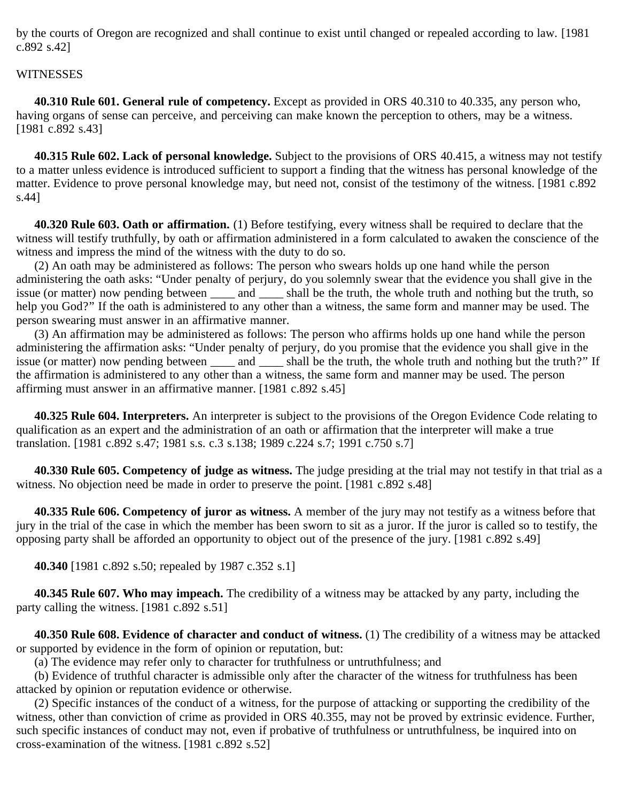by the courts of Oregon are recognized and shall continue to exist until changed or repealed according to law. [1981 c.892 s.42]

# **WITNESSES**

 **40.310 Rule 601. General rule of competency.** Except as provided in ORS 40.310 to 40.335, any person who, having organs of sense can perceive, and perceiving can make known the perception to others, may be a witness. [1981 c.892 s.43]

 **40.315 Rule 602. Lack of personal knowledge.** Subject to the provisions of ORS 40.415, a witness may not testify to a matter unless evidence is introduced sufficient to support a finding that the witness has personal knowledge of the matter. Evidence to prove personal knowledge may, but need not, consist of the testimony of the witness. [1981 c.892 s.44]

 **40.320 Rule 603. Oath or affirmation.** (1) Before testifying, every witness shall be required to declare that the witness will testify truthfully, by oath or affirmation administered in a form calculated to awaken the conscience of the witness and impress the mind of the witness with the duty to do so.

 (2) An oath may be administered as follows: The person who swears holds up one hand while the person administering the oath asks: "Under penalty of perjury, do you solemnly swear that the evidence you shall give in the issue (or matter) now pending between \_\_\_\_ and \_\_\_\_ shall be the truth, the whole truth and nothing but the truth, so help you God?" If the oath is administered to any other than a witness, the same form and manner may be used. The person swearing must answer in an affirmative manner.

 (3) An affirmation may be administered as follows: The person who affirms holds up one hand while the person administering the affirmation asks: "Under penalty of perjury, do you promise that the evidence you shall give in the issue (or matter) now pending between \_\_\_\_\_ and \_\_\_\_\_ shall be the truth, the whole truth and nothing but the truth?" If the affirmation is administered to any other than a witness, the same form and manner may be used. The person affirming must answer in an affirmative manner. [1981 c.892 s.45]

 **40.325 Rule 604. Interpreters.** An interpreter is subject to the provisions of the Oregon Evidence Code relating to qualification as an expert and the administration of an oath or affirmation that the interpreter will make a true translation. [1981 c.892 s.47; 1981 s.s. c.3 s.138; 1989 c.224 s.7; 1991 c.750 s.7]

 **40.330 Rule 605. Competency of judge as witness.** The judge presiding at the trial may not testify in that trial as a witness. No objection need be made in order to preserve the point. [1981 c.892 s.48]

 **40.335 Rule 606. Competency of juror as witness.** A member of the jury may not testify as a witness before that jury in the trial of the case in which the member has been sworn to sit as a juror. If the juror is called so to testify, the opposing party shall be afforded an opportunity to object out of the presence of the jury. [1981 c.892 s.49]

**40.340** [1981 c.892 s.50; repealed by 1987 c.352 s.1]

 **40.345 Rule 607. Who may impeach.** The credibility of a witness may be attacked by any party, including the party calling the witness. [1981 c.892 s.51]

 **40.350 Rule 608. Evidence of character and conduct of witness.** (1) The credibility of a witness may be attacked or supported by evidence in the form of opinion or reputation, but:

(a) The evidence may refer only to character for truthfulness or untruthfulness; and

 (b) Evidence of truthful character is admissible only after the character of the witness for truthfulness has been attacked by opinion or reputation evidence or otherwise.

 (2) Specific instances of the conduct of a witness, for the purpose of attacking or supporting the credibility of the witness, other than conviction of crime as provided in ORS 40.355, may not be proved by extrinsic evidence. Further, such specific instances of conduct may not, even if probative of truthfulness or untruthfulness, be inquired into on cross-examination of the witness. [1981 c.892 s.52]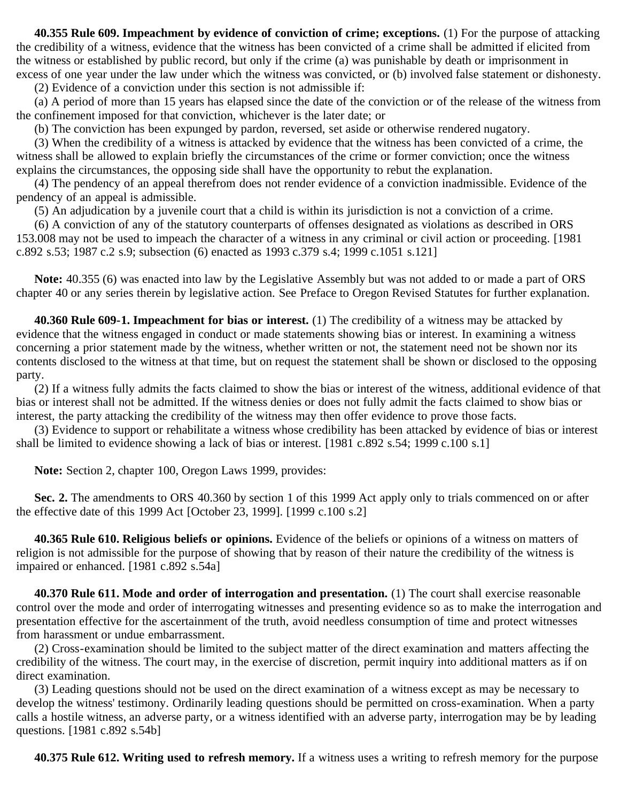**40.355 Rule 609. Impeachment by evidence of conviction of crime; exceptions.** (1) For the purpose of attacking the credibility of a witness, evidence that the witness has been convicted of a crime shall be admitted if elicited from the witness or established by public record, but only if the crime (a) was punishable by death or imprisonment in excess of one year under the law under which the witness was convicted, or (b) involved false statement or dishonesty.

(2) Evidence of a conviction under this section is not admissible if:

 (a) A period of more than 15 years has elapsed since the date of the conviction or of the release of the witness from the confinement imposed for that conviction, whichever is the later date; or

(b) The conviction has been expunged by pardon, reversed, set aside or otherwise rendered nugatory.

 (3) When the credibility of a witness is attacked by evidence that the witness has been convicted of a crime, the witness shall be allowed to explain briefly the circumstances of the crime or former conviction; once the witness explains the circumstances, the opposing side shall have the opportunity to rebut the explanation.

 (4) The pendency of an appeal therefrom does not render evidence of a conviction inadmissible. Evidence of the pendency of an appeal is admissible.

(5) An adjudication by a juvenile court that a child is within its jurisdiction is not a conviction of a crime.

 (6) A conviction of any of the statutory counterparts of offenses designated as violations as described in ORS 153.008 may not be used to impeach the character of a witness in any criminal or civil action or proceeding. [1981 c.892 s.53; 1987 c.2 s.9; subsection (6) enacted as 1993 c.379 s.4; 1999 c.1051 s.121]

 **Note:** 40.355 (6) was enacted into law by the Legislative Assembly but was not added to or made a part of ORS chapter 40 or any series therein by legislative action. See Preface to Oregon Revised Statutes for further explanation.

 **40.360 Rule 609-1. Impeachment for bias or interest.** (1) The credibility of a witness may be attacked by evidence that the witness engaged in conduct or made statements showing bias or interest. In examining a witness concerning a prior statement made by the witness, whether written or not, the statement need not be shown nor its contents disclosed to the witness at that time, but on request the statement shall be shown or disclosed to the opposing party.

 (2) If a witness fully admits the facts claimed to show the bias or interest of the witness, additional evidence of that bias or interest shall not be admitted. If the witness denies or does not fully admit the facts claimed to show bias or interest, the party attacking the credibility of the witness may then offer evidence to prove those facts.

 (3) Evidence to support or rehabilitate a witness whose credibility has been attacked by evidence of bias or interest shall be limited to evidence showing a lack of bias or interest. [1981 c.892 s.54; 1999 c.100 s.1]

 **Note:** Section 2, chapter 100, Oregon Laws 1999, provides:

 **Sec. 2.** The amendments to ORS 40.360 by section 1 of this 1999 Act apply only to trials commenced on or after the effective date of this 1999 Act [October 23, 1999]. [1999 c.100 s.2]

 **40.365 Rule 610. Religious beliefs or opinions.** Evidence of the beliefs or opinions of a witness on matters of religion is not admissible for the purpose of showing that by reason of their nature the credibility of the witness is impaired or enhanced. [1981 c.892 s.54a]

 **40.370 Rule 611. Mode and order of interrogation and presentation.** (1) The court shall exercise reasonable control over the mode and order of interrogating witnesses and presenting evidence so as to make the interrogation and presentation effective for the ascertainment of the truth, avoid needless consumption of time and protect witnesses from harassment or undue embarrassment.

 (2) Cross-examination should be limited to the subject matter of the direct examination and matters affecting the credibility of the witness. The court may, in the exercise of discretion, permit inquiry into additional matters as if on direct examination.

 (3) Leading questions should not be used on the direct examination of a witness except as may be necessary to develop the witness' testimony. Ordinarily leading questions should be permitted on cross-examination. When a party calls a hostile witness, an adverse party, or a witness identified with an adverse party, interrogation may be by leading questions. [1981 c.892 s.54b]

 **40.375 Rule 612. Writing used to refresh memory.** If a witness uses a writing to refresh memory for the purpose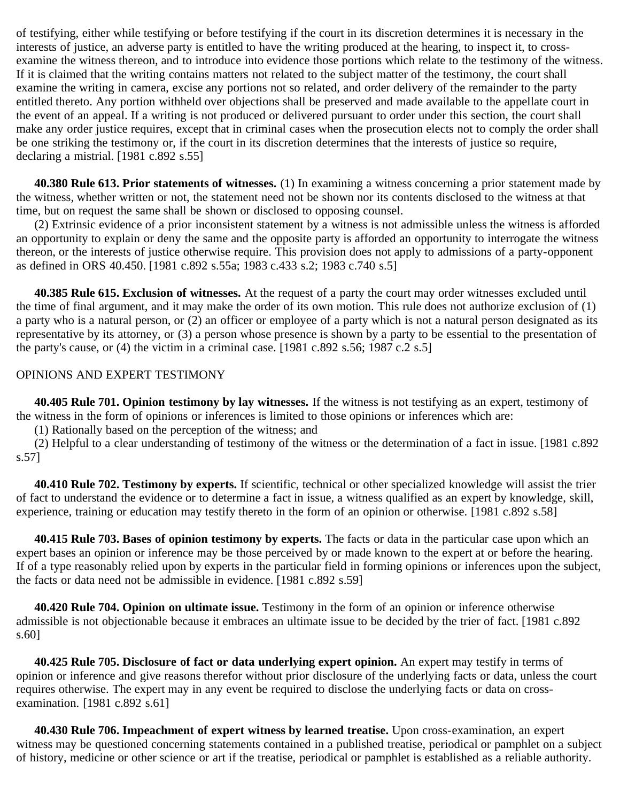of testifying, either while testifying or before testifying if the court in its discretion determines it is necessary in the interests of justice, an adverse party is entitled to have the writing produced at the hearing, to inspect it, to crossexamine the witness thereon, and to introduce into evidence those portions which relate to the testimony of the witness. If it is claimed that the writing contains matters not related to the subject matter of the testimony, the court shall examine the writing in camera, excise any portions not so related, and order delivery of the remainder to the party entitled thereto. Any portion withheld over objections shall be preserved and made available to the appellate court in the event of an appeal. If a writing is not produced or delivered pursuant to order under this section, the court shall make any order justice requires, except that in criminal cases when the prosecution elects not to comply the order shall be one striking the testimony or, if the court in its discretion determines that the interests of justice so require, declaring a mistrial. [1981 c.892 s.55]

 **40.380 Rule 613. Prior statements of witnesses.** (1) In examining a witness concerning a prior statement made by the witness, whether written or not, the statement need not be shown nor its contents disclosed to the witness at that time, but on request the same shall be shown or disclosed to opposing counsel.

 (2) Extrinsic evidence of a prior inconsistent statement by a witness is not admissible unless the witness is afforded an opportunity to explain or deny the same and the opposite party is afforded an opportunity to interrogate the witness thereon, or the interests of justice otherwise require. This provision does not apply to admissions of a party-opponent as defined in ORS 40.450. [1981 c.892 s.55a; 1983 c.433 s.2; 1983 c.740 s.5]

 **40.385 Rule 615. Exclusion of witnesses.** At the request of a party the court may order witnesses excluded until the time of final argument, and it may make the order of its own motion. This rule does not authorize exclusion of (1) a party who is a natural person, or (2) an officer or employee of a party which is not a natural person designated as its representative by its attorney, or (3) a person whose presence is shown by a party to be essential to the presentation of the party's cause, or  $(4)$  the victim in a criminal case. [1981 c.892 s.56; 1987 c.2 s.5]

## OPINIONS AND EXPERT TESTIMONY

 **40.405 Rule 701. Opinion testimony by lay witnesses.** If the witness is not testifying as an expert, testimony of the witness in the form of opinions or inferences is limited to those opinions or inferences which are:

(1) Rationally based on the perception of the witness; and

 (2) Helpful to a clear understanding of testimony of the witness or the determination of a fact in issue. [1981 c.892 s.57]

 **40.410 Rule 702. Testimony by experts.** If scientific, technical or other specialized knowledge will assist the trier of fact to understand the evidence or to determine a fact in issue, a witness qualified as an expert by knowledge, skill, experience, training or education may testify thereto in the form of an opinion or otherwise. [1981 c.892 s.58]

 **40.415 Rule 703. Bases of opinion testimony by experts.** The facts or data in the particular case upon which an expert bases an opinion or inference may be those perceived by or made known to the expert at or before the hearing. If of a type reasonably relied upon by experts in the particular field in forming opinions or inferences upon the subject, the facts or data need not be admissible in evidence. [1981 c.892 s.59]

 **40.420 Rule 704. Opinion on ultimate issue.** Testimony in the form of an opinion or inference otherwise admissible is not objectionable because it embraces an ultimate issue to be decided by the trier of fact. [1981 c.892 s.60]

 **40.425 Rule 705. Disclosure of fact or data underlying expert opinion.** An expert may testify in terms of opinion or inference and give reasons therefor without prior disclosure of the underlying facts or data, unless the court requires otherwise. The expert may in any event be required to disclose the underlying facts or data on crossexamination. [1981 c.892 s.61]

 **40.430 Rule 706. Impeachment of expert witness by learned treatise.** Upon cross-examination, an expert witness may be questioned concerning statements contained in a published treatise, periodical or pamphlet on a subject of history, medicine or other science or art if the treatise, periodical or pamphlet is established as a reliable authority.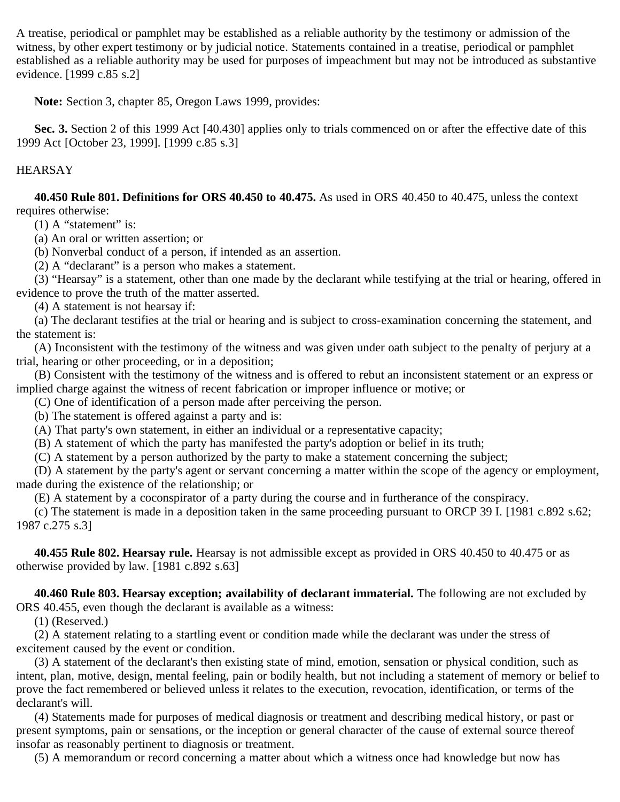A treatise, periodical or pamphlet may be established as a reliable authority by the testimony or admission of the witness, by other expert testimony or by judicial notice. Statements contained in a treatise, periodical or pamphlet established as a reliable authority may be used for purposes of impeachment but may not be introduced as substantive evidence. [1999 c.85 s.2]

 **Note:** Section 3, chapter 85, Oregon Laws 1999, provides:

 **Sec. 3.** Section 2 of this 1999 Act [40.430] applies only to trials commenced on or after the effective date of this 1999 Act [October 23, 1999]. [1999 c.85 s.3]

# HEARSAY

 **40.450 Rule 801. Definitions for ORS 40.450 to 40.475.** As used in ORS 40.450 to 40.475, unless the context requires otherwise:

 $(1)$  A "statement" is:

(a) An oral or written assertion; or

(b) Nonverbal conduct of a person, if intended as an assertion.

(2) A "declarant" is a person who makes a statement.

 (3) "Hearsay" is a statement, other than one made by the declarant while testifying at the trial or hearing, offered in evidence to prove the truth of the matter asserted.

(4) A statement is not hearsay if:

 (a) The declarant testifies at the trial or hearing and is subject to cross-examination concerning the statement, and the statement is:

 (A) Inconsistent with the testimony of the witness and was given under oath subject to the penalty of perjury at a trial, hearing or other proceeding, or in a deposition;

 (B) Consistent with the testimony of the witness and is offered to rebut an inconsistent statement or an express or implied charge against the witness of recent fabrication or improper influence or motive; or

(C) One of identification of a person made after perceiving the person.

(b) The statement is offered against a party and is:

(A) That party's own statement, in either an individual or a representative capacity;

(B) A statement of which the party has manifested the party's adoption or belief in its truth;

(C) A statement by a person authorized by the party to make a statement concerning the subject;

 (D) A statement by the party's agent or servant concerning a matter within the scope of the agency or employment, made during the existence of the relationship; or

(E) A statement by a coconspirator of a party during the course and in furtherance of the conspiracy.

 (c) The statement is made in a deposition taken in the same proceeding pursuant to ORCP 39 I. [1981 c.892 s.62; 1987 c.275 s.3]

 **40.455 Rule 802. Hearsay rule.** Hearsay is not admissible except as provided in ORS 40.450 to 40.475 or as otherwise provided by law. [1981 c.892 s.63]

 **40.460 Rule 803. Hearsay exception; availability of declarant immaterial.** The following are not excluded by ORS 40.455, even though the declarant is available as a witness:

(1) (Reserved.)

 (2) A statement relating to a startling event or condition made while the declarant was under the stress of excitement caused by the event or condition.

 (3) A statement of the declarant's then existing state of mind, emotion, sensation or physical condition, such as intent, plan, motive, design, mental feeling, pain or bodily health, but not including a statement of memory or belief to prove the fact remembered or believed unless it relates to the execution, revocation, identification, or terms of the declarant's will.

 (4) Statements made for purposes of medical diagnosis or treatment and describing medical history, or past or present symptoms, pain or sensations, or the inception or general character of the cause of external source thereof insofar as reasonably pertinent to diagnosis or treatment.

(5) A memorandum or record concerning a matter about which a witness once had knowledge but now has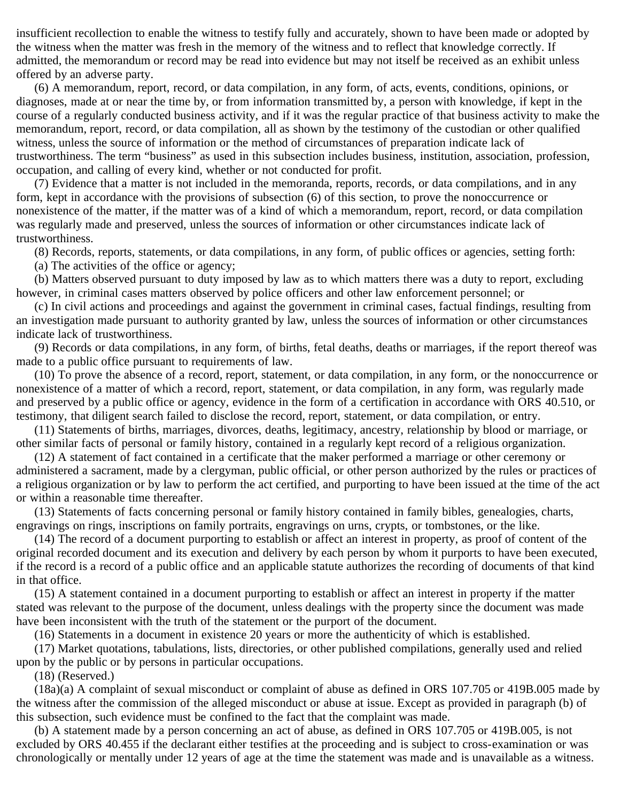insufficient recollection to enable the witness to testify fully and accurately, shown to have been made or adopted by the witness when the matter was fresh in the memory of the witness and to reflect that knowledge correctly. If admitted, the memorandum or record may be read into evidence but may not itself be received as an exhibit unless offered by an adverse party.

 (6) A memorandum, report, record, or data compilation, in any form, of acts, events, conditions, opinions, or diagnoses, made at or near the time by, or from information transmitted by, a person with knowledge, if kept in the course of a regularly conducted business activity, and if it was the regular practice of that business activity to make the memorandum, report, record, or data compilation, all as shown by the testimony of the custodian or other qualified witness, unless the source of information or the method of circumstances of preparation indicate lack of trustworthiness. The term "business" as used in this subsection includes business, institution, association, profession, occupation, and calling of every kind, whether or not conducted for profit.

 (7) Evidence that a matter is not included in the memoranda, reports, records, or data compilations, and in any form, kept in accordance with the provisions of subsection (6) of this section, to prove the nonoccurrence or nonexistence of the matter, if the matter was of a kind of which a memorandum, report, record, or data compilation was regularly made and preserved, unless the sources of information or other circumstances indicate lack of trustworthiness.

(8) Records, reports, statements, or data compilations, in any form, of public offices or agencies, setting forth:

(a) The activities of the office or agency;

 (b) Matters observed pursuant to duty imposed by law as to which matters there was a duty to report, excluding however, in criminal cases matters observed by police officers and other law enforcement personnel; or

 (c) In civil actions and proceedings and against the government in criminal cases, factual findings, resulting from an investigation made pursuant to authority granted by law, unless the sources of information or other circumstances indicate lack of trustworthiness.

 (9) Records or data compilations, in any form, of births, fetal deaths, deaths or marriages, if the report thereof was made to a public office pursuant to requirements of law.

 (10) To prove the absence of a record, report, statement, or data compilation, in any form, or the nonoccurrence or nonexistence of a matter of which a record, report, statement, or data compilation, in any form, was regularly made and preserved by a public office or agency, evidence in the form of a certification in accordance with ORS 40.510, or testimony, that diligent search failed to disclose the record, report, statement, or data compilation, or entry.

 (11) Statements of births, marriages, divorces, deaths, legitimacy, ancestry, relationship by blood or marriage, or other similar facts of personal or family history, contained in a regularly kept record of a religious organization.

 (12) A statement of fact contained in a certificate that the maker performed a marriage or other ceremony or administered a sacrament, made by a clergyman, public official, or other person authorized by the rules or practices of a religious organization or by law to perform the act certified, and purporting to have been issued at the time of the act or within a reasonable time thereafter.

 (13) Statements of facts concerning personal or family history contained in family bibles, genealogies, charts, engravings on rings, inscriptions on family portraits, engravings on urns, crypts, or tombstones, or the like.

 (14) The record of a document purporting to establish or affect an interest in property, as proof of content of the original recorded document and its execution and delivery by each person by whom it purports to have been executed, if the record is a record of a public office and an applicable statute authorizes the recording of documents of that kind in that office.

 (15) A statement contained in a document purporting to establish or affect an interest in property if the matter stated was relevant to the purpose of the document, unless dealings with the property since the document was made have been inconsistent with the truth of the statement or the purport of the document.

(16) Statements in a document in existence 20 years or more the authenticity of which is established.

 (17) Market quotations, tabulations, lists, directories, or other published compilations, generally used and relied upon by the public or by persons in particular occupations.

(18) (Reserved.)

 (18a)(a) A complaint of sexual misconduct or complaint of abuse as defined in ORS 107.705 or 419B.005 made by the witness after the commission of the alleged misconduct or abuse at issue. Except as provided in paragraph (b) of this subsection, such evidence must be confined to the fact that the complaint was made.

 (b) A statement made by a person concerning an act of abuse, as defined in ORS 107.705 or 419B.005, is not excluded by ORS 40.455 if the declarant either testifies at the proceeding and is subject to cross-examination or was chronologically or mentally under 12 years of age at the time the statement was made and is unavailable as a witness.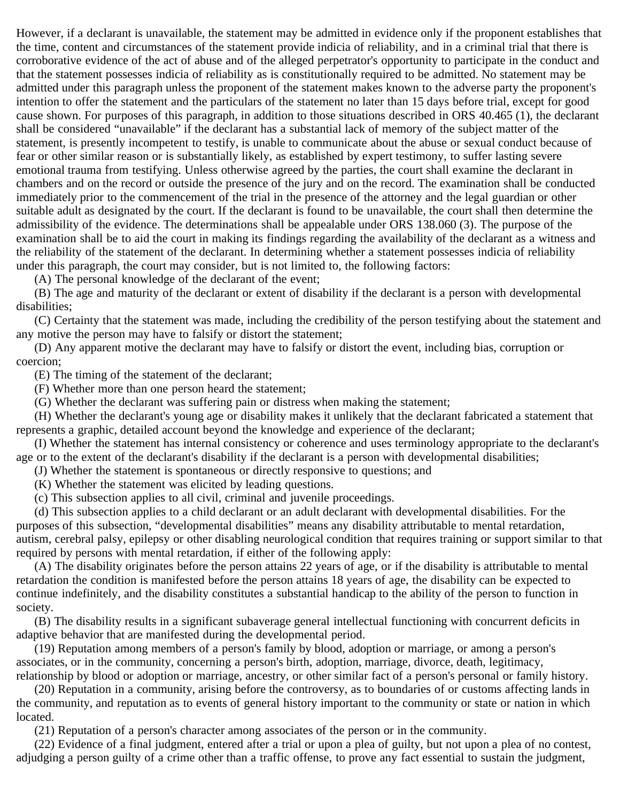However, if a declarant is unavailable, the statement may be admitted in evidence only if the proponent establishes that the time, content and circumstances of the statement provide indicia of reliability, and in a criminal trial that there is corroborative evidence of the act of abuse and of the alleged perpetrator's opportunity to participate in the conduct and that the statement possesses indicia of reliability as is constitutionally required to be admitted. No statement may be admitted under this paragraph unless the proponent of the statement makes known to the adverse party the proponent's intention to offer the statement and the particulars of the statement no later than 15 days before trial, except for good cause shown. For purposes of this paragraph, in addition to those situations described in ORS 40.465 (1), the declarant shall be considered "unavailable" if the declarant has a substantial lack of memory of the subject matter of the statement, is presently incompetent to testify, is unable to communicate about the abuse or sexual conduct because of fear or other similar reason or is substantially likely, as established by expert testimony, to suffer lasting severe emotional trauma from testifying. Unless otherwise agreed by the parties, the court shall examine the declarant in chambers and on the record or outside the presence of the jury and on the record. The examination shall be conducted immediately prior to the commencement of the trial in the presence of the attorney and the legal guardian or other suitable adult as designated by the court. If the declarant is found to be unavailable, the court shall then determine the admissibility of the evidence. The determinations shall be appealable under ORS 138.060 (3). The purpose of the examination shall be to aid the court in making its findings regarding the availability of the declarant as a witness and the reliability of the statement of the declarant. In determining whether a statement possesses indicia of reliability under this paragraph, the court may consider, but is not limited to, the following factors:

(A) The personal knowledge of the declarant of the event;

 (B) The age and maturity of the declarant or extent of disability if the declarant is a person with developmental disabilities;

 (C) Certainty that the statement was made, including the credibility of the person testifying about the statement and any motive the person may have to falsify or distort the statement;

 (D) Any apparent motive the declarant may have to falsify or distort the event, including bias, corruption or coercion;

(E) The timing of the statement of the declarant;

(F) Whether more than one person heard the statement;

(G) Whether the declarant was suffering pain or distress when making the statement;

 (H) Whether the declarant's young age or disability makes it unlikely that the declarant fabricated a statement that represents a graphic, detailed account beyond the knowledge and experience of the declarant;

 (I) Whether the statement has internal consistency or coherence and uses terminology appropriate to the declarant's age or to the extent of the declarant's disability if the declarant is a person with developmental disabilities;

(J) Whether the statement is spontaneous or directly responsive to questions; and

(K) Whether the statement was elicited by leading questions.

(c) This subsection applies to all civil, criminal and juvenile proceedings.

 (d) This subsection applies to a child declarant or an adult declarant with developmental disabilities. For the purposes of this subsection, "developmental disabilities" means any disability attributable to mental retardation, autism, cerebral palsy, epilepsy or other disabling neurological condition that requires training or support similar to that required by persons with mental retardation, if either of the following apply:

 (A) The disability originates before the person attains 22 years of age, or if the disability is attributable to mental retardation the condition is manifested before the person attains 18 years of age, the disability can be expected to continue indefinitely, and the disability constitutes a substantial handicap to the ability of the person to function in society.

 (B) The disability results in a significant subaverage general intellectual functioning with concurrent deficits in adaptive behavior that are manifested during the developmental period.

 (19) Reputation among members of a person's family by blood, adoption or marriage, or among a person's associates, or in the community, concerning a person's birth, adoption, marriage, divorce, death, legitimacy, relationship by blood or adoption or marriage, ancestry, or other similar fact of a person's personal or family history.

 (20) Reputation in a community, arising before the controversy, as to boundaries of or customs affecting lands in the community, and reputation as to events of general history important to the community or state or nation in which located.

(21) Reputation of a person's character among associates of the person or in the community.

 (22) Evidence of a final judgment, entered after a trial or upon a plea of guilty, but not upon a plea of no contest, adjudging a person guilty of a crime other than a traffic offense, to prove any fact essential to sustain the judgment,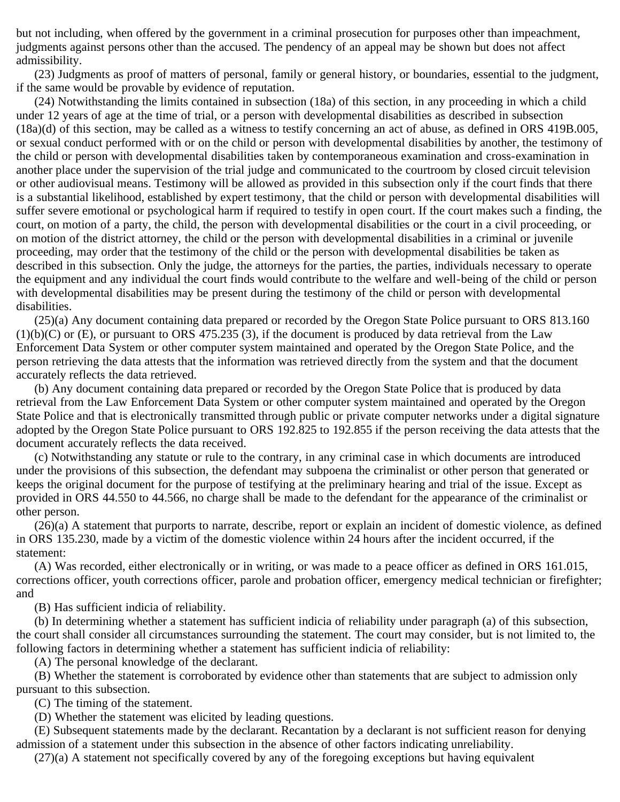but not including, when offered by the government in a criminal prosecution for purposes other than impeachment, judgments against persons other than the accused. The pendency of an appeal may be shown but does not affect admissibility.

 (23) Judgments as proof of matters of personal, family or general history, or boundaries, essential to the judgment, if the same would be provable by evidence of reputation.

 (24) Notwithstanding the limits contained in subsection (18a) of this section, in any proceeding in which a child under 12 years of age at the time of trial, or a person with developmental disabilities as described in subsection (18a)(d) of this section, may be called as a witness to testify concerning an act of abuse, as defined in ORS 419B.005, or sexual conduct performed with or on the child or person with developmental disabilities by another, the testimony of the child or person with developmental disabilities taken by contemporaneous examination and cross-examination in another place under the supervision of the trial judge and communicated to the courtroom by closed circuit television or other audiovisual means. Testimony will be allowed as provided in this subsection only if the court finds that there is a substantial likelihood, established by expert testimony, that the child or person with developmental disabilities will suffer severe emotional or psychological harm if required to testify in open court. If the court makes such a finding, the court, on motion of a party, the child, the person with developmental disabilities or the court in a civil proceeding, or on motion of the district attorney, the child or the person with developmental disabilities in a criminal or juvenile proceeding, may order that the testimony of the child or the person with developmental disabilities be taken as described in this subsection. Only the judge, the attorneys for the parties, the parties, individuals necessary to operate the equipment and any individual the court finds would contribute to the welfare and well-being of the child or person with developmental disabilities may be present during the testimony of the child or person with developmental disabilities.

 (25)(a) Any document containing data prepared or recorded by the Oregon State Police pursuant to ORS 813.160  $(1)(b)(C)$  or (E), or pursuant to ORS 475.235 (3), if the document is produced by data retrieval from the Law Enforcement Data System or other computer system maintained and operated by the Oregon State Police, and the person retrieving the data attests that the information was retrieved directly from the system and that the document accurately reflects the data retrieved.

 (b) Any document containing data prepared or recorded by the Oregon State Police that is produced by data retrieval from the Law Enforcement Data System or other computer system maintained and operated by the Oregon State Police and that is electronically transmitted through public or private computer networks under a digital signature adopted by the Oregon State Police pursuant to ORS 192.825 to 192.855 if the person receiving the data attests that the document accurately reflects the data received.

 (c) Notwithstanding any statute or rule to the contrary, in any criminal case in which documents are introduced under the provisions of this subsection, the defendant may subpoena the criminalist or other person that generated or keeps the original document for the purpose of testifying at the preliminary hearing and trial of the issue. Except as provided in ORS 44.550 to 44.566, no charge shall be made to the defendant for the appearance of the criminalist or other person.

 $(26)(a)$  A statement that purports to narrate, describe, report or explain an incident of domestic violence, as defined in ORS 135.230, made by a victim of the domestic violence within 24 hours after the incident occurred, if the statement:

 (A) Was recorded, either electronically or in writing, or was made to a peace officer as defined in ORS 161.015, corrections officer, youth corrections officer, parole and probation officer, emergency medical technician or firefighter; and

(B) Has sufficient indicia of reliability.

 (b) In determining whether a statement has sufficient indicia of reliability under paragraph (a) of this subsection, the court shall consider all circumstances surrounding the statement. The court may consider, but is not limited to, the following factors in determining whether a statement has sufficient indicia of reliability:

(A) The personal knowledge of the declarant.

 (B) Whether the statement is corroborated by evidence other than statements that are subject to admission only pursuant to this subsection.

(C) The timing of the statement.

(D) Whether the statement was elicited by leading questions.

 (E) Subsequent statements made by the declarant. Recantation by a declarant is not sufficient reason for denying admission of a statement under this subsection in the absence of other factors indicating unreliability.

(27)(a) A statement not specifically covered by any of the foregoing exceptions but having equivalent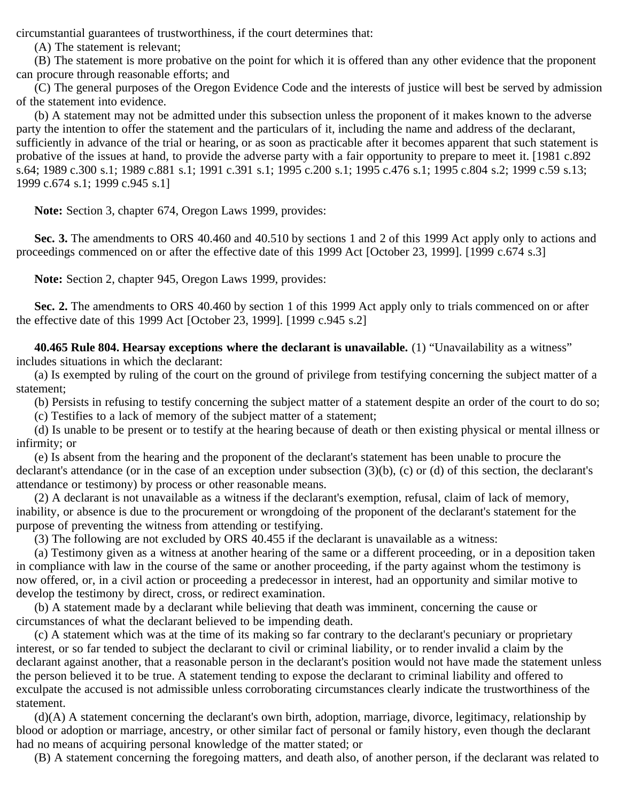circumstantial guarantees of trustworthiness, if the court determines that:

(A) The statement is relevant;

 (B) The statement is more probative on the point for which it is offered than any other evidence that the proponent can procure through reasonable efforts; and

 (C) The general purposes of the Oregon Evidence Code and the interests of justice will best be served by admission of the statement into evidence.

 (b) A statement may not be admitted under this subsection unless the proponent of it makes known to the adverse party the intention to offer the statement and the particulars of it, including the name and address of the declarant, sufficiently in advance of the trial or hearing, or as soon as practicable after it becomes apparent that such statement is probative of the issues at hand, to provide the adverse party with a fair opportunity to prepare to meet it. [1981 c.892 s.64; 1989 c.300 s.1; 1989 c.881 s.1; 1991 c.391 s.1; 1995 c.200 s.1; 1995 c.476 s.1; 1995 c.804 s.2; 1999 c.59 s.13; 1999 c.674 s.1; 1999 c.945 s.1]

 **Note:** Section 3, chapter 674, Oregon Laws 1999, provides:

 **Sec. 3.** The amendments to ORS 40.460 and 40.510 by sections 1 and 2 of this 1999 Act apply only to actions and proceedings commenced on or after the effective date of this 1999 Act [October 23, 1999]. [1999 c.674 s.3]

 **Note:** Section 2, chapter 945, Oregon Laws 1999, provides:

 **Sec. 2.** The amendments to ORS 40.460 by section 1 of this 1999 Act apply only to trials commenced on or after the effective date of this 1999 Act [October 23, 1999]. [1999 c.945 s.2]

 **40.465 Rule 804. Hearsay exceptions where the declarant is unavailable.** (1) "Unavailability as a witness" includes situations in which the declarant:

 (a) Is exempted by ruling of the court on the ground of privilege from testifying concerning the subject matter of a statement;

(b) Persists in refusing to testify concerning the subject matter of a statement despite an order of the court to do so;

(c) Testifies to a lack of memory of the subject matter of a statement;

 (d) Is unable to be present or to testify at the hearing because of death or then existing physical or mental illness or infirmity; or

 (e) Is absent from the hearing and the proponent of the declarant's statement has been unable to procure the declarant's attendance (or in the case of an exception under subsection (3)(b), (c) or (d) of this section, the declarant's attendance or testimony) by process or other reasonable means.

 (2) A declarant is not unavailable as a witness if the declarant's exemption, refusal, claim of lack of memory, inability, or absence is due to the procurement or wrongdoing of the proponent of the declarant's statement for the purpose of preventing the witness from attending or testifying.

(3) The following are not excluded by ORS 40.455 if the declarant is unavailable as a witness:

 (a) Testimony given as a witness at another hearing of the same or a different proceeding, or in a deposition taken in compliance with law in the course of the same or another proceeding, if the party against whom the testimony is now offered, or, in a civil action or proceeding a predecessor in interest, had an opportunity and similar motive to develop the testimony by direct, cross, or redirect examination.

 (b) A statement made by a declarant while believing that death was imminent, concerning the cause or circumstances of what the declarant believed to be impending death.

 (c) A statement which was at the time of its making so far contrary to the declarant's pecuniary or proprietary interest, or so far tended to subject the declarant to civil or criminal liability, or to render invalid a claim by the declarant against another, that a reasonable person in the declarant's position would not have made the statement unless the person believed it to be true. A statement tending to expose the declarant to criminal liability and offered to exculpate the accused is not admissible unless corroborating circumstances clearly indicate the trustworthiness of the statement.

 (d)(A) A statement concerning the declarant's own birth, adoption, marriage, divorce, legitimacy, relationship by blood or adoption or marriage, ancestry, or other similar fact of personal or family history, even though the declarant had no means of acquiring personal knowledge of the matter stated; or

(B) A statement concerning the foregoing matters, and death also, of another person, if the declarant was related to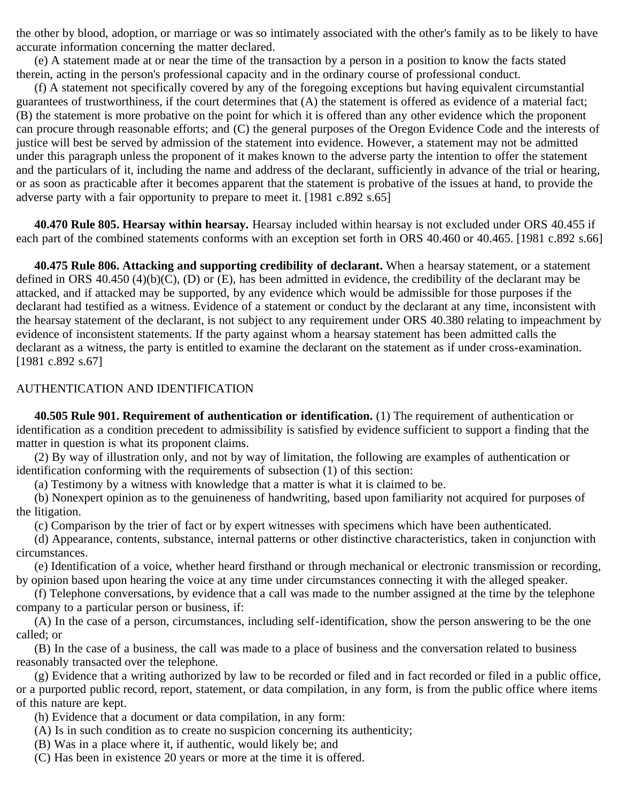the other by blood, adoption, or marriage or was so intimately associated with the other's family as to be likely to have accurate information concerning the matter declared.

 (e) A statement made at or near the time of the transaction by a person in a position to know the facts stated therein, acting in the person's professional capacity and in the ordinary course of professional conduct.

 (f) A statement not specifically covered by any of the foregoing exceptions but having equivalent circumstantial guarantees of trustworthiness, if the court determines that (A) the statement is offered as evidence of a material fact; (B) the statement is more probative on the point for which it is offered than any other evidence which the proponent can procure through reasonable efforts; and (C) the general purposes of the Oregon Evidence Code and the interests of justice will best be served by admission of the statement into evidence. However, a statement may not be admitted under this paragraph unless the proponent of it makes known to the adverse party the intention to offer the statement and the particulars of it, including the name and address of the declarant, sufficiently in advance of the trial or hearing, or as soon as practicable after it becomes apparent that the statement is probative of the issues at hand, to provide the adverse party with a fair opportunity to prepare to meet it. [1981 c.892 s.65]

 **40.470 Rule 805. Hearsay within hearsay.** Hearsay included within hearsay is not excluded under ORS 40.455 if each part of the combined statements conforms with an exception set forth in ORS 40.460 or 40.465. [1981 c.892 s.66]

 **40.475 Rule 806. Attacking and supporting credibility of declarant.** When a hearsay statement, or a statement defined in ORS 40.450 (4)(b)(C), (D) or (E), has been admitted in evidence, the credibility of the declarant may be attacked, and if attacked may be supported, by any evidence which would be admissible for those purposes if the declarant had testified as a witness. Evidence of a statement or conduct by the declarant at any time, inconsistent with the hearsay statement of the declarant, is not subject to any requirement under ORS 40.380 relating to impeachment by evidence of inconsistent statements. If the party against whom a hearsay statement has been admitted calls the declarant as a witness, the party is entitled to examine the declarant on the statement as if under cross-examination. [1981 c.892 s.67]

## AUTHENTICATION AND IDENTIFICATION

 **40.505 Rule 901. Requirement of authentication or identification.** (1) The requirement of authentication or identification as a condition precedent to admissibility is satisfied by evidence sufficient to support a finding that the matter in question is what its proponent claims.

 (2) By way of illustration only, and not by way of limitation, the following are examples of authentication or identification conforming with the requirements of subsection (1) of this section:

(a) Testimony by a witness with knowledge that a matter is what it is claimed to be.

 (b) Nonexpert opinion as to the genuineness of handwriting, based upon familiarity not acquired for purposes of the litigation.

(c) Comparison by the trier of fact or by expert witnesses with specimens which have been authenticated.

 (d) Appearance, contents, substance, internal patterns or other distinctive characteristics, taken in conjunction with circumstances.

 (e) Identification of a voice, whether heard firsthand or through mechanical or electronic transmission or recording, by opinion based upon hearing the voice at any time under circumstances connecting it with the alleged speaker.

 (f) Telephone conversations, by evidence that a call was made to the number assigned at the time by the telephone company to a particular person or business, if:

 (A) In the case of a person, circumstances, including self-identification, show the person answering to be the one called; or

 (B) In the case of a business, the call was made to a place of business and the conversation related to business reasonably transacted over the telephone.

 (g) Evidence that a writing authorized by law to be recorded or filed and in fact recorded or filed in a public office, or a purported public record, report, statement, or data compilation, in any form, is from the public office where items of this nature are kept.

(h) Evidence that a document or data compilation, in any form:

(A) Is in such condition as to create no suspicion concerning its authenticity;

(B) Was in a place where it, if authentic, would likely be; and

(C) Has been in existence 20 years or more at the time it is offered.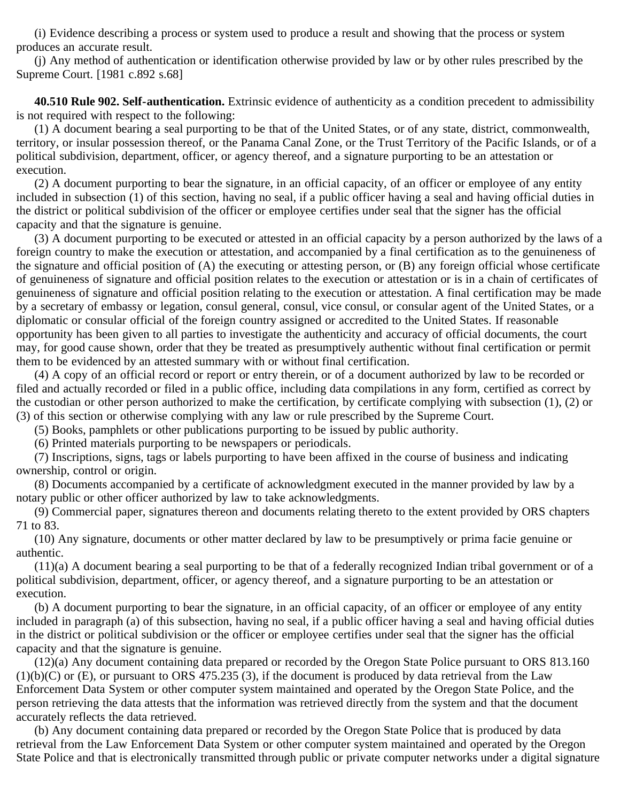(i) Evidence describing a process or system used to produce a result and showing that the process or system produces an accurate result.

 (j) Any method of authentication or identification otherwise provided by law or by other rules prescribed by the Supreme Court. [1981 c.892 s.68]

 **40.510 Rule 902. Self-authentication.** Extrinsic evidence of authenticity as a condition precedent to admissibility is not required with respect to the following:

 (1) A document bearing a seal purporting to be that of the United States, or of any state, district, commonwealth, territory, or insular possession thereof, or the Panama Canal Zone, or the Trust Territory of the Pacific Islands, or of a political subdivision, department, officer, or agency thereof, and a signature purporting to be an attestation or execution.

 (2) A document purporting to bear the signature, in an official capacity, of an officer or employee of any entity included in subsection (1) of this section, having no seal, if a public officer having a seal and having official duties in the district or political subdivision of the officer or employee certifies under seal that the signer has the official capacity and that the signature is genuine.

 (3) A document purporting to be executed or attested in an official capacity by a person authorized by the laws of a foreign country to make the execution or attestation, and accompanied by a final certification as to the genuineness of the signature and official position of (A) the executing or attesting person, or (B) any foreign official whose certificate of genuineness of signature and official position relates to the execution or attestation or is in a chain of certificates of genuineness of signature and official position relating to the execution or attestation. A final certification may be made by a secretary of embassy or legation, consul general, consul, vice consul, or consular agent of the United States, or a diplomatic or consular official of the foreign country assigned or accredited to the United States. If reasonable opportunity has been given to all parties to investigate the authenticity and accuracy of official documents, the court may, for good cause shown, order that they be treated as presumptively authentic without final certification or permit them to be evidenced by an attested summary with or without final certification.

 (4) A copy of an official record or report or entry therein, or of a document authorized by law to be recorded or filed and actually recorded or filed in a public office, including data compilations in any form, certified as correct by the custodian or other person authorized to make the certification, by certificate complying with subsection (1), (2) or (3) of this section or otherwise complying with any law or rule prescribed by the Supreme Court.

(5) Books, pamphlets or other publications purporting to be issued by public authority.

(6) Printed materials purporting to be newspapers or periodicals.

 (7) Inscriptions, signs, tags or labels purporting to have been affixed in the course of business and indicating ownership, control or origin.

 (8) Documents accompanied by a certificate of acknowledgment executed in the manner provided by law by a notary public or other officer authorized by law to take acknowledgments.

 (9) Commercial paper, signatures thereon and documents relating thereto to the extent provided by ORS chapters 71 to 83.

 (10) Any signature, documents or other matter declared by law to be presumptively or prima facie genuine or authentic.

 (11)(a) A document bearing a seal purporting to be that of a federally recognized Indian tribal government or of a political subdivision, department, officer, or agency thereof, and a signature purporting to be an attestation or execution.

 (b) A document purporting to bear the signature, in an official capacity, of an officer or employee of any entity included in paragraph (a) of this subsection, having no seal, if a public officer having a seal and having official duties in the district or political subdivision or the officer or employee certifies under seal that the signer has the official capacity and that the signature is genuine.

 (12)(a) Any document containing data prepared or recorded by the Oregon State Police pursuant to ORS 813.160  $(1)(b)(C)$  or (E), or pursuant to ORS 475.235 (3), if the document is produced by data retrieval from the Law Enforcement Data System or other computer system maintained and operated by the Oregon State Police, and the person retrieving the data attests that the information was retrieved directly from the system and that the document accurately reflects the data retrieved.

 (b) Any document containing data prepared or recorded by the Oregon State Police that is produced by data retrieval from the Law Enforcement Data System or other computer system maintained and operated by the Oregon State Police and that is electronically transmitted through public or private computer networks under a digital signature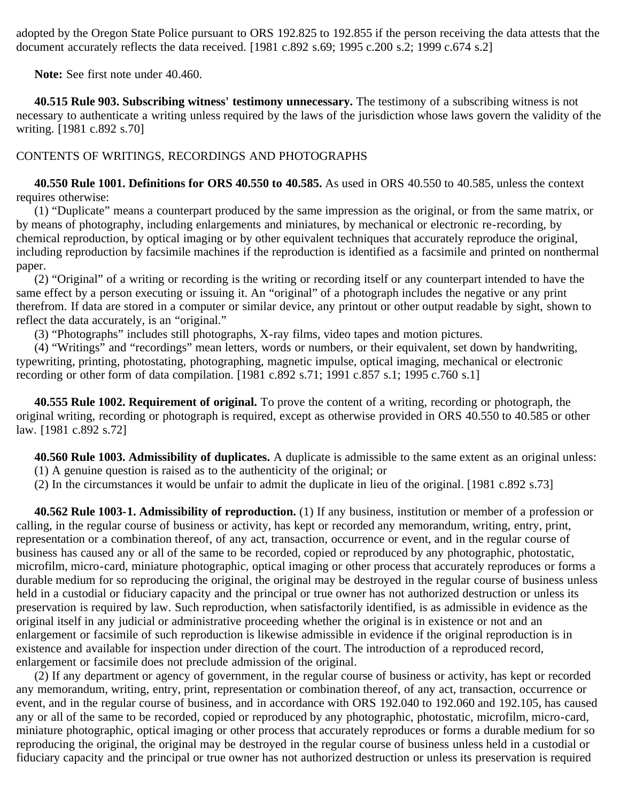adopted by the Oregon State Police pursuant to ORS 192.825 to 192.855 if the person receiving the data attests that the document accurately reflects the data received. [1981 c.892 s.69; 1995 c.200 s.2; 1999 c.674 s.2]

 **Note:** See first note under 40.460.

 **40.515 Rule 903. Subscribing witness' testimony unnecessary.** The testimony of a subscribing witness is not necessary to authenticate a writing unless required by the laws of the jurisdiction whose laws govern the validity of the writing. [1981 c.892 s.70]

# CONTENTS OF WRITINGS, RECORDINGS AND PHOTOGRAPHS

 **40.550 Rule 1001. Definitions for ORS 40.550 to 40.585.** As used in ORS 40.550 to 40.585, unless the context requires otherwise:

 (1) "Duplicate" means a counterpart produced by the same impression as the original, or from the same matrix, or by means of photography, including enlargements and miniatures, by mechanical or electronic re-recording, by chemical reproduction, by optical imaging or by other equivalent techniques that accurately reproduce the original, including reproduction by facsimile machines if the reproduction is identified as a facsimile and printed on nonthermal paper.

 (2) "Original" of a writing or recording is the writing or recording itself or any counterpart intended to have the same effect by a person executing or issuing it. An "original" of a photograph includes the negative or any print therefrom. If data are stored in a computer or similar device, any printout or other output readable by sight, shown to reflect the data accurately, is an "original."

(3) "Photographs" includes still photographs, X-ray films, video tapes and motion pictures.

 (4) "Writings" and "recordings" mean letters, words or numbers, or their equivalent, set down by handwriting, typewriting, printing, photostating, photographing, magnetic impulse, optical imaging, mechanical or electronic recording or other form of data compilation. [1981 c.892 s.71; 1991 c.857 s.1; 1995 c.760 s.1]

 **40.555 Rule 1002. Requirement of original.** To prove the content of a writing, recording or photograph, the original writing, recording or photograph is required, except as otherwise provided in ORS 40.550 to 40.585 or other law. [1981 c.892 s.72]

 **40.560 Rule 1003. Admissibility of duplicates.** A duplicate is admissible to the same extent as an original unless:

(1) A genuine question is raised as to the authenticity of the original; or

(2) In the circumstances it would be unfair to admit the duplicate in lieu of the original. [1981 c.892 s.73]

 **40.562 Rule 1003-1. Admissibility of reproduction.** (1) If any business, institution or member of a profession or calling, in the regular course of business or activity, has kept or recorded any memorandum, writing, entry, print, representation or a combination thereof, of any act, transaction, occurrence or event, and in the regular course of business has caused any or all of the same to be recorded, copied or reproduced by any photographic, photostatic, microfilm, micro-card, miniature photographic, optical imaging or other process that accurately reproduces or forms a durable medium for so reproducing the original, the original may be destroyed in the regular course of business unless held in a custodial or fiduciary capacity and the principal or true owner has not authorized destruction or unless its preservation is required by law. Such reproduction, when satisfactorily identified, is as admissible in evidence as the original itself in any judicial or administrative proceeding whether the original is in existence or not and an enlargement or facsimile of such reproduction is likewise admissible in evidence if the original reproduction is in existence and available for inspection under direction of the court. The introduction of a reproduced record, enlargement or facsimile does not preclude admission of the original.

 (2) If any department or agency of government, in the regular course of business or activity, has kept or recorded any memorandum, writing, entry, print, representation or combination thereof, of any act, transaction, occurrence or event, and in the regular course of business, and in accordance with ORS 192.040 to 192.060 and 192.105, has caused any or all of the same to be recorded, copied or reproduced by any photographic, photostatic, microfilm, micro-card, miniature photographic, optical imaging or other process that accurately reproduces or forms a durable medium for so reproducing the original, the original may be destroyed in the regular course of business unless held in a custodial or fiduciary capacity and the principal or true owner has not authorized destruction or unless its preservation is required